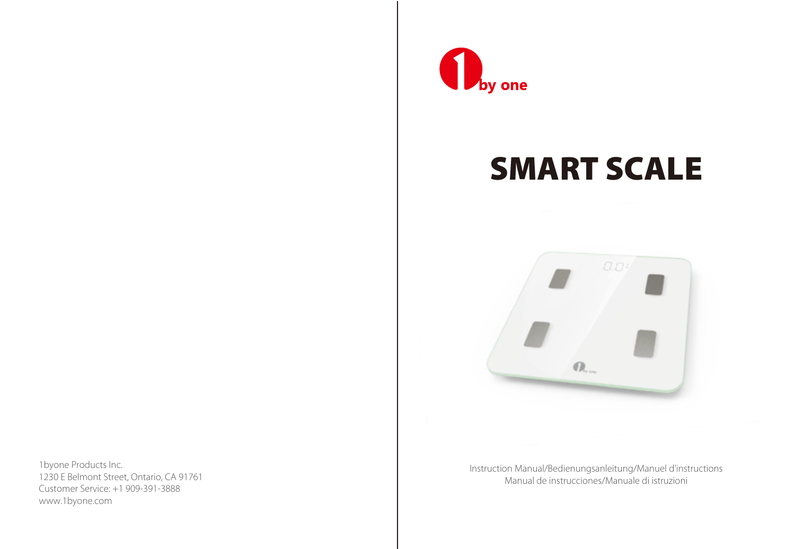

# SMART SCALE



Instruction Manual/Bedienungsanleitung/Manuel d'instructions Manual de instrucciones/Manuale di istruzioni

1byone Products Inc. 1230 E Belmont Street, Ontario, CA 91761 Customer Service: +1 909-391-3888 www.1byone.com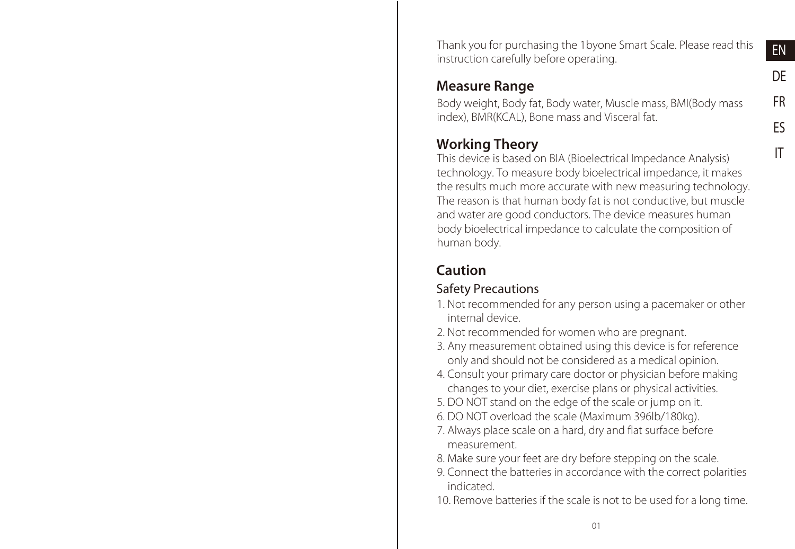Thank you for purchasing the 1byone Smart Scale. Please read this instruction carefully before operating.

#### Measure Range

Body weight, Body fat, Body water, Muscle mass, BMI(Body mass index), BMR(KCAL), Bone mass and Visceral fat.

## Working Theory

This device is based on BIA (Bioelectrical Impedance Analysis) technology. To measure body bioelectrical impedance, it makes the results much more accurate with new measuring technology. The reason is that human body fat is not conductive, but muscle and water are good conductors. The device measures human body bioelectrical impedance to calculate the composition of human body.

## Caution

### Safety Precautions

- 1. Not recommended for any person using a pacemaker or other internal device.
- 2. Not recommended for women who are pregnant.
- 3. Any measurement obtained using this device is for reference only and should not be considered as a medical opinion.
- 4. Consult your primary care doctor or physician before making changes to your diet, exercise plans or physical activities.
- 5. DO NOT stand on the edge of the scale or jump on it.
- 6. DO NOT overload the scale (Maximum 396lb/180kg).
- 7. Always place scale on a hard, dry and flat surface before measurement.
- 8. Make sure your feet are dry before stepping on the scale.
- 9. Connect the batteries in accordance with the correct polarities indicated.
- 10. Remove batteries if the scale is not to be used for a long time.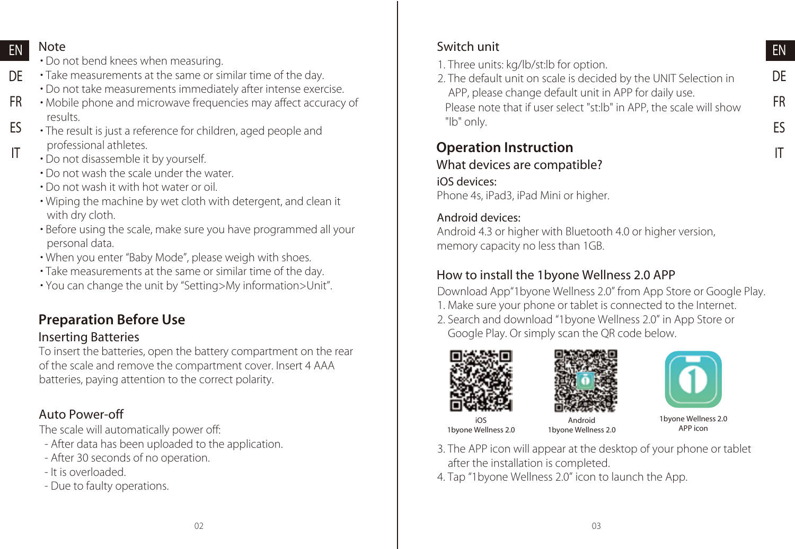#### **EN** Note

- Do not bend knees when measuring.
- Take measurements at the same or similar time of the day. DE
	- Do not take measurements immediately after intense exercise.
- Mobile phone and microwave frequencies may affect accuracy of results. FR ES
- The result is just a reference for children, aged people and professional athletes. IT
	- Do not disassemble it by yourself.
	- Do not wash the scale under the water.
	- Do not wash it with hot water or oil.
	- Wiping the machine by wet cloth with detergent, and clean it with dry cloth.
	- Before using the scale, make sure you have programmed all your personal data.
	- When you enter "Baby Mode", please weigh with shoes.
	- Take measurements at the same or similar time of the day.
	- You can change the unit by "Setting>My information>Unit".

## Preparation Before Use

#### Inserting Batteries

To insert the batteries, open the battery compartment on the rear of the scale and remove the compartment cover. Insert 4 AAA batteries, paying attention to the correct polarity.

### Auto Power-off

The scale will automatically power off:

- After data has been uploaded to the application.
- After 30 seconds of no operation.
- It is overloaded.
- Due to faulty operations.

## Switch unit

- 1. Three units: kg/lb/st:lb for option.
- 2. The default unit on scale is decided by the UNIT Selection in APP, please change default unit in APP for daily use.

Please note that if user select "st:lb" in APP, the scale will show "lb" only.

#### Operation Instruction What devices are compatible?

## iOS devices:

Phone 4s, iPad3, iPad Mini or higher.

#### Android devices:

Android 4.3 or higher with Bluetooth 4.0 or higher version, memory capacity no less than 1GB.

## How to install the 1byone Wellness 2.0 APP

Download App"1byone Wellness 2.0" from App Store or Google Play.

- 1. Make sure your phone or tablet is connected to the Internet.
- 2. Search and download "1byone Wellness 2.0" in App Store or Google Play. Or simply scan the QR code below.







iOS 1byone Wellness 2.0

Android 1byone Wellness 2.0

1byone Wellness 2.0 APP icon

- 3. The APP icon will appear at the desktop of your phone or tablet after the installation is completed.
- 4. Tap "1byone Wellness 2.0" icon to launch the App.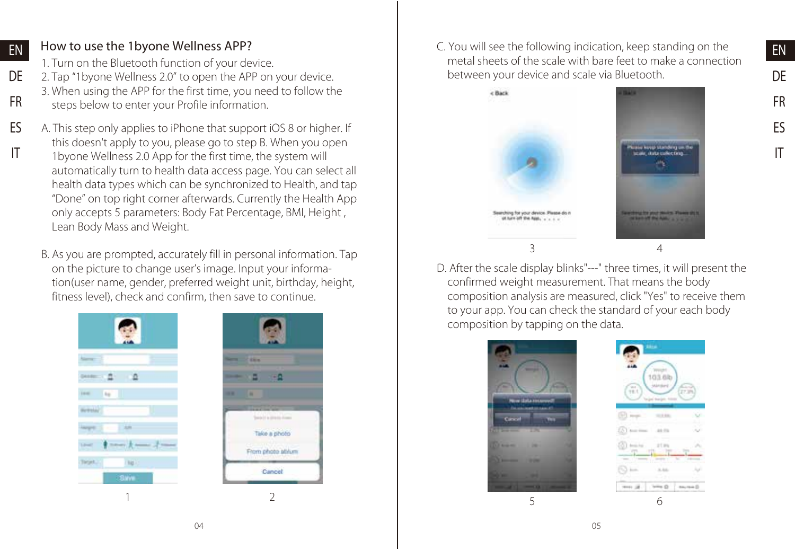#### How to use the 1byone Wellness APP?

EN

FR ES IT

- 1. Turn on the Bluetooth function of your device.
- 2. Tap "1byone Wellness 2.0" to open the APP on your device. DE
	- 3. When using the APP for the first time, you need to follow the
	- steps below to enter your Profile information.
	- A. This step only applies to iPhone that support iOS 8 or higher. If this doesn't apply to you, please go to step B. When you open 1byone Wellness 2.0 App for the first time, the system will automatically turn to health data access page. You can select all health data types which can be synchronized to Health, and tap "Done" on top right corner afterwards. Currently the Health App only accepts 5 parameters: Body Fat Percentage, BMI, Height , Lean Body Mass and Weight.
		- B. As you are prompted, accurately fill in personal information. Tap on the picture to change user's image. Input your information(user name, gender, preferred weight unit, birthday, height, fitness level), check and confirm, then save to continue.





C. You will see the following indication, keep standing on the metal sheets of the scale with bare feet to make a connection between your device and scale via Bluetooth.



D. After the scale display blinks"---" three times, it will present the confirmed weight measurement. That means the body composition analysis are measured, click "Yes" to receive them to your app. You can check the standard of your each body composition by tapping on the data.



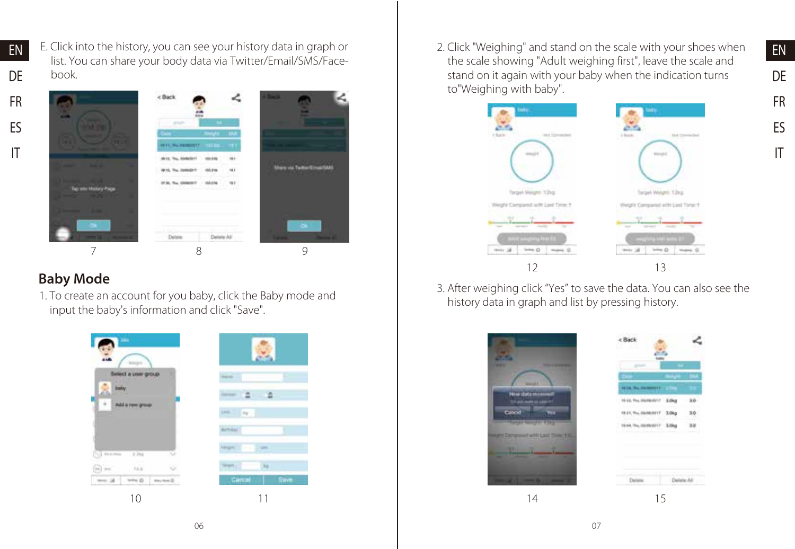EN DE FR E. Click into the history, you can see your history data in graph or list. You can share your body data via Twitter/Email/SMS/Facebook.





## Baby Mode

1. To create an account for you baby, click the Baby mode and input the baby's information and click "Save".



2. Click "Weighing" and stand on the scale with your shoes when the scale showing "Adult weighing first", leave the scale and stand on it again with your baby when the indication turns to"Weighing with baby".



3. After weighing click "Yes" to save the data. You can also see the history data in graph and list by pressing history.



IT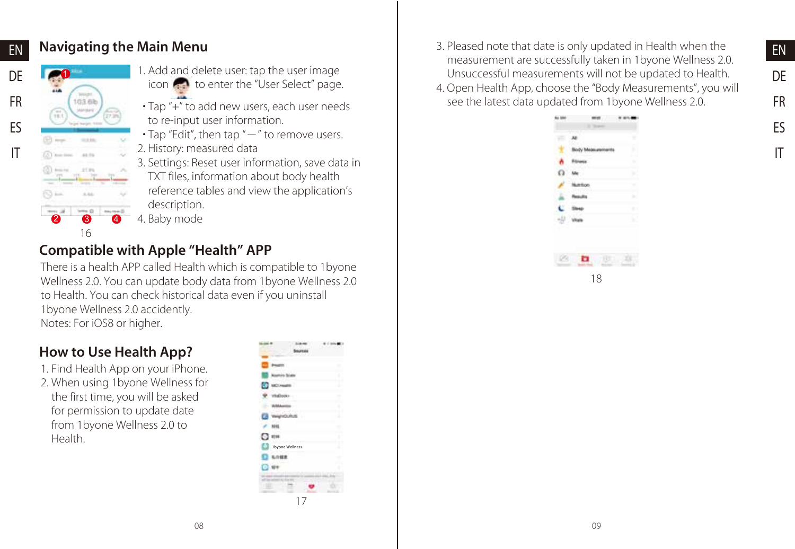## Navigating the Main Menu



EN DE FR ES IT

- 1. Add and delete user: tap the user image icon to enter the "User Select" page.
- Tap "+" to add new users, each user needs to re-input user information.
- $\cdot$  Tap "Edit", then tap " $-$ " to remove users.
- 2. History: measured data
- 3. Settings: Reset user information, save data in TXT files, information about body health reference tables and view the application's description.
- 4. Baby mode

## Compatible with Apple "Health" APP

There is a health APP called Health which is compatible to 1byone Wellness 2.0. You can update body data from 1byone Wellness 2.0 to Health. You can check historical data even if you uninstall 1byone Wellness 2.0 accidently. Notes: For iOS8 or higher.

## How to Use Health App?

- 1. Find Health App on your iPhone.
- 2. When using 1byone Wellness for the first time, you will be asked for permission to update date from 1byone Wellness 2.0 to Health.

| 1byone Wellness<br>œ<br>۹ |    |               |
|---------------------------|----|---------------|
|                           |    |               |
|                           |    |               |
|                           |    | ٥             |
|                           |    |               |
|                           |    | ×             |
|                           |    | ۱             |
|                           |    | ٠             |
|                           |    | $\mathcal{L}$ |
|                           |    | ۱             |
|                           |    | . .<br>٠      |
|                           |    | $\mathcal{L}$ |
|                           |    | ı             |
|                           |    |               |
|                           |    |               |
|                           | 17 |               |

3. Pleased note that date is only updated in Health when the measurement are successfully taken in 1byone Wellness 2.0. Unsuccessful measurements will not be updated to Health. 4. Open Health App, choose the "Body Measurements", you will see the latest data updated from 1byone Wellness 2.0.

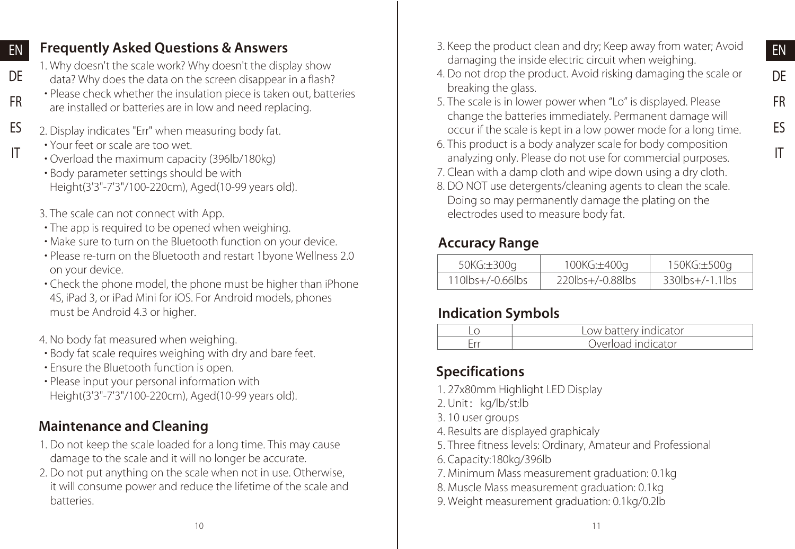## Frequently Asked Questions & Answers

1. Why doesn't the scale work? Why doesn't the display show data? Why does the data on the screen disappear in a flash?

- Please check whether the insulation piece is taken out, batteries are installed or batteries are in low and need replacing.
- 2. Display indicates "Err" when measuring body fat. ES
	- Your feet or scale are too wet.

EN DE

FR

IT

- Overload the maximum capacity (396lb/180kg)
- Body parameter settings should be with Height(3'3"-7'3"/100-220cm), Aged(10-99 years old).
- 3. The scale can not connect with App.
- The app is required to be opened when weighing.
- Make sure to turn on the Bluetooth function on your device.
- Please re-turn on the Bluetooth and restart 1byone Wellness 2.0 on your device.
- Check the phone model, the phone must be higher than iPhone 4S, iPad 3, or iPad Mini for iOS. For Android models, phones must be Android 4.3 or higher.
- 4. No body fat measured when weighing.
- Body fat scale requires weighing with dry and bare feet.
- Ensure the Bluetooth function is open.
- Please input your personal information with Height(3'3"-7'3"/100-220cm), Aged(10-99 years old).

## Maintenance and Cleaning

- 1. Do not keep the scale loaded for a long time. This may cause damage to the scale and it will no longer be accurate.
- 2. Do not put anything on the scale when not in use. Otherwise, it will consume power and reduce the lifetime of the scale and batteries.
- 3. Keep the product clean and dry; Keep away from water; Avoid damaging the inside electric circuit when weighing.
- 4. Do not drop the product. Avoid risking damaging the scale or breaking the glass.
- 5. The scale is in lower power when "Lo" is displayed. Please change the batteries immediately. Permanent damage will occur if the scale is kept in a low power mode for a long time.
- 6. This product is a body analyzer scale for body composition analyzing only. Please do not use for commercial purposes.
- 7. Clean with a damp cloth and wipe down using a dry cloth.
- 8. DO NOT use detergents/cleaning agents to clean the scale. Doing so may permanently damage the plating on the electrodes used to measure body fat.

## Accuracy Range

| 50KG:±300g          | 100KG:±400q            | 150KG:±500g            |
|---------------------|------------------------|------------------------|
| $110$ lbs+/-0.66lbs | 220 lbs + / - 0.88 lbs | $330$ lbs $+/-1.1$ lbs |

### Indication Symbols

| env indicator      |
|--------------------|
| Overload indicator |

## Specifications

- 1. 27x80mm Highlight LED Display
- 2. Unit: kg/lb/st:lb
- 3. 10 user groups
- 4. Results are displayed graphicaly
- 5. Three fitness levels: Ordinary, Amateur and Professional
- 6. Capacity:180kg/396lb
- 7. Minimum Mass measurement graduation: 0.1kg
- 8. Muscle Mass measurement graduation: 0.1kg
- 9. Weight measurement graduation: 0.1kg/0.2lb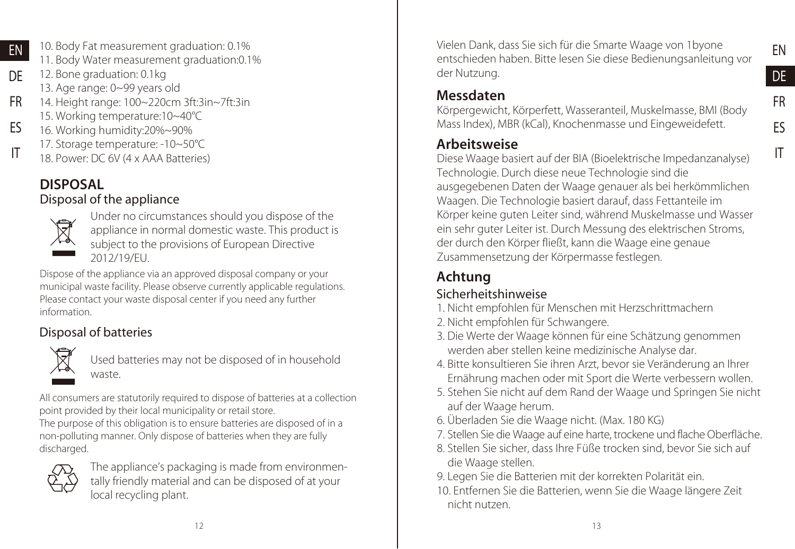- 10. Body Fat measurement graduation: 0.1% 11. Body Water measurement graduation:0.1%
- 12. Bone graduation: 0.1kg DE

EN

- 13. Age range: 0~99 years old
- 14. Height range: 100~220cm 3ft:3in~7ft:3in 15. Working temperature:10~40°C FR
- 16. Working humidity:20%~90% ES
	- 17. Storage temperature: -10~50°C
- 18. Power: DC 6V (4 x AAA Batteries) IT

## DISPOSAL

### Disposal of the appliance



Under no circumstances should you dispose of the appliance in normal domestic waste. This product is subject to the provisions of European Directive 2012/19/EU.

Dispose of the appliance via an approved disposal company or your municipal waste facility. Please observe currently applicable regulations. Please contact your waste disposal center if you need any further information.

## Disposal of batteries



Used batteries may not be disposed of in household waste.

All consumers are statutorily required to dispose of batteries at a collection point provided by their local municipality or retail store.

The purpose of this obligation is to ensure batteries are disposed of in a non-polluting manner. Only dispose of batteries when they are fully discharged.



The appliance's packaging is made from environmentally friendly material and can be disposed of at your local recycling plant.

Vielen Dank, dass Sie sich für die Smarte Waage von 1byone entschieden haben. Bitte lesen Sie diese Bedienungsanleitung vor der Nutzung.

## Messdaten

Körpergewicht, Körperfett, Wasseranteil, Muskelmasse, BMI (Body Mass Index), MBR (kCal), Knochenmasse und Eingeweidefett.

## Arbeitsweise

Diese Waage basiert auf der BIA (Bioelektrische Impedanzanalyse) Technologie. Durch diese neue Technologie sind die ausgegebenen Daten der Waage genauer als bei herkömmlichen Waagen. Die Technologie basiert darauf, dass Fettanteile im Körper keine guten Leiter sind, während Muskelmasse und Wasser ein sehr guter Leiter ist. Durch Messung des elektrischen Stroms, der durch den Körper fließt, kann die Waage eine genaue Zusammensetzung der Körpermasse festlegen.

## Achtung

### Sicherheitshinweise

- 1. Nicht empfohlen für Menschen mit Herzschrittmachern
- 2. Nicht empfohlen für Schwangere.
- 3. Die Werte der Waage können für eine Schätzung genommen werden aber stellen keine medizinische Analyse dar.
- 4. Bitte konsultieren Sie ihren Arzt, bevor sie Veränderung an Ihrer Ernährung machen oder mit Sport die Werte verbessern wollen.
- 5. Stehen Sie nicht auf dem Rand der Waage und Springen Sie nicht auf der Waage herum.
- 6. Überladen Sie die Waage nicht. (Max. 180 KG)
- 7. Stellen Sie die Waage auf eine harte, trockene und flache Oberfläche.
- 8. Stellen Sie sicher, dass Ihre Füße trocken sind, bevor Sie sich auf die Waage stellen.
- 9. Legen Sie die Batterien mit der korrekten Polarität ein. 10. Entfernen Sie die Batterien, wenn Sie die Waage längere Zeit nicht nutzen.

FR ES IT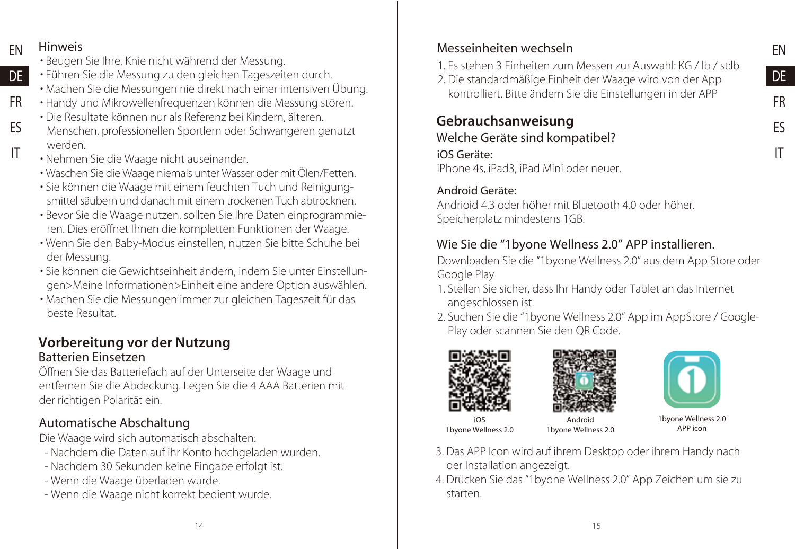EN DE FR ES IT

#### **FN** Hinweis

D<sub>E</sub>

ES IT

- Beugen Sie Ihre, Knie nicht während der Messung.
- Führen Sie die Messung zu den gleichen Tageszeiten durch.
- Machen Sie die Messungen nie direkt nach einer intensiven Übung.
- Handy und Mikrowellenfrequenzen können die Messung stören. FR
	- Die Resultate können nur als Referenz bei Kindern, älteren.
	- Menschen, professionellen Sportlern oder Schwangeren genutzt werden.
	- Nehmen Sie die Waage nicht auseinander.
	- Waschen Sie die Waage niemals unter Wasser oder mit Ölen/Fetten.
	- Sie können die Waage mit einem feuchten Tuch und Reinigungsmittel säubern und danach mit einem trockenen Tuch abtrocknen.
	- Bevor Sie die Waage nutzen, sollten Sie Ihre Daten einprogrammieren. Dies eröffnet Ihnen die kompletten Funktionen der Waage.
	- Wenn Sie den Baby-Modus einstellen, nutzen Sie bitte Schuhe bei der Messung.
	- Sie können die Gewichtseinheit ändern, indem Sie unter Einstellungen>Meine Informationen>Einheit eine andere Option auswählen.
	- Machen Sie die Messungen immer zur gleichen Tageszeit für das beste Resultat.

#### Vorbereitung vor der Nutzung Batterien Einsetzen

Öffnen Sie das Batteriefach auf der Unterseite der Waage und entfernen Sie die Abdeckung. Legen Sie die 4 AAA Batterien mit der richtigen Polarität ein.

## Automatische Abschaltung

Die Waage wird sich automatisch abschalten:

- Nachdem die Daten auf ihr Konto hochgeladen wurden.
- Nachdem 30 Sekunden keine Eingabe erfolgt ist.
- Wenn die Waage überladen wurde.
- Wenn die Waage nicht korrekt bedient wurde.

## Messeinheiten wechseln

- 1. Es stehen 3 Einheiten zum Messen zur Auswahl: KG / lb / st:lb
- 2. Die standardmäßige Einheit der Waage wird von der App kontrolliert. Bitte ändern Sie die Einstellungen in der APP

#### Gebrauchsanweisung Welche Geräte sind kompatibel?

## iOS Geräte:

iPhone 4s, iPad3, iPad Mini oder neuer.

#### Android Geräte:

Andrioid 4.3 oder höher mit Bluetooth 4.0 oder höher. Speicherplatz mindestens 1GB.

## Wie Sie die "1byone Wellness 2.0" APP installieren.

Downloaden Sie die "1byone Wellness 2.0" aus dem App Store oder Google Play

- 1. Stellen Sie sicher, dass Ihr Handy oder Tablet an das Internet angeschlossen ist.
- 2. Suchen Sie die "1byone Wellness 2.0" App im AppStore / Google-Play oder scannen Sie den QR Code.







iOS 1byone Wellness 2.0

Android 1byone Wellness 2.0

1byone Wellness 2.0 APP icon

- 3. Das APP Icon wird auf ihrem Desktop oder ihrem Handy nach der Installation angezeigt.
- 4. Drücken Sie das "1byone Wellness 2.0" App Zeichen um sie zu starten.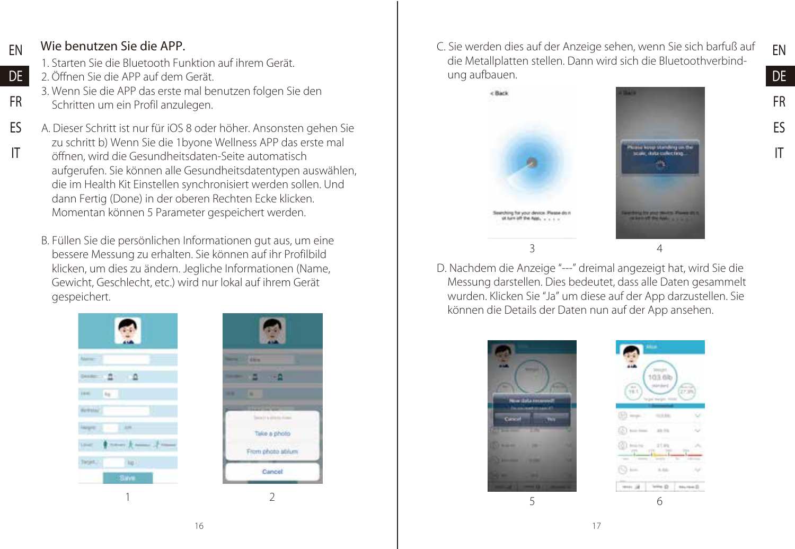EN DE FR ES IT

#### Wie benutzen Sie die APP. EN

DE FR

1. Starten Sie die Bluetooth Funktion auf ihrem Gerät.

- 2. Öffnen Sie die APP auf dem Gerät.
- 3. Wenn Sie die APP das erste mal benutzen folgen Sie den Schritten um ein Profil anzulegen.
- A. Dieser Schritt ist nur für iOS 8 oder höher. Ansonsten gehen Sie zu schritt b) Wenn Sie die 1byone Wellness APP das erste mal öffnen, wird die Gesundheitsdaten-Seite automatisch aufgerufen. Sie können alle Gesundheitsdatentypen auswählen, die im Health Kit Einstellen synchronisiert werden sollen. Und dann Fertig (Done) in der oberen Rechten Ecke klicken. Momentan können 5 Parameter gespeichert werden. ES IT
	- B. Füllen Sie die persönlichen Informationen gut aus, um eine bessere Messung zu erhalten. Sie können auf ihr Profilbild klicken, um dies zu ändern. Jegliche Informationen (Name, Gewicht, Geschlecht, etc.) wird nur lokal auf ihrem Gerät gespeichert.





C. Sie werden dies auf der Anzeige sehen, wenn Sie sich barfuß auf die Metallplatten stellen. Dann wird sich die Bluetoothverbindung aufbauen.



D. Nachdem die Anzeige "---" dreimal angezeigt hat, wird Sie die Messung darstellen. Dies bedeutet, dass alle Daten gesammelt wurden. Klicken Sie "Ja" um diese auf der App darzustellen. Sie können die Details der Daten nun auf der App ansehen.





5 6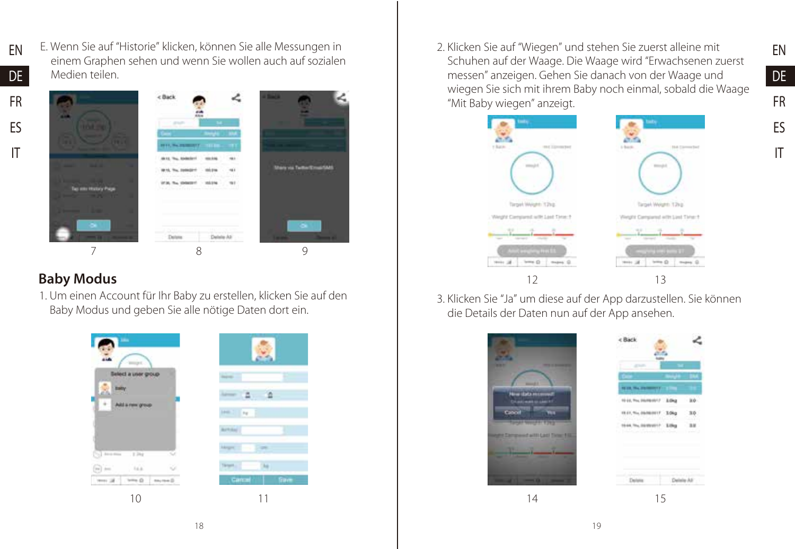- EN DE
- E. Wenn Sie auf "Historie" klicken, können Sie alle Messungen in einem Graphen sehen und wenn Sie wollen auch auf sozialen Medien teilen.
- FR ES IT



### Baby Modus

1. Um einen Account für Ihr Baby zu erstellen, klicken Sie auf den Baby Modus und geben Sie alle nötige Daten dort ein.



2. Klicken Sie auf "Wiegen" und stehen Sie zuerst alleine mit Schuhen auf der Waage. Die Waage wird "Erwachsenen zuerst messen" anzeigen. Gehen Sie danach von der Waage und wiegen Sie sich mit ihrem Baby noch einmal, sobald die Waage "Mit Baby wiegen" anzeigt.

EN DE FR ES IT



3. Klicken Sie "Ja" um diese auf der App darzustellen. Sie können die Details der Daten nun auf der App ansehen.

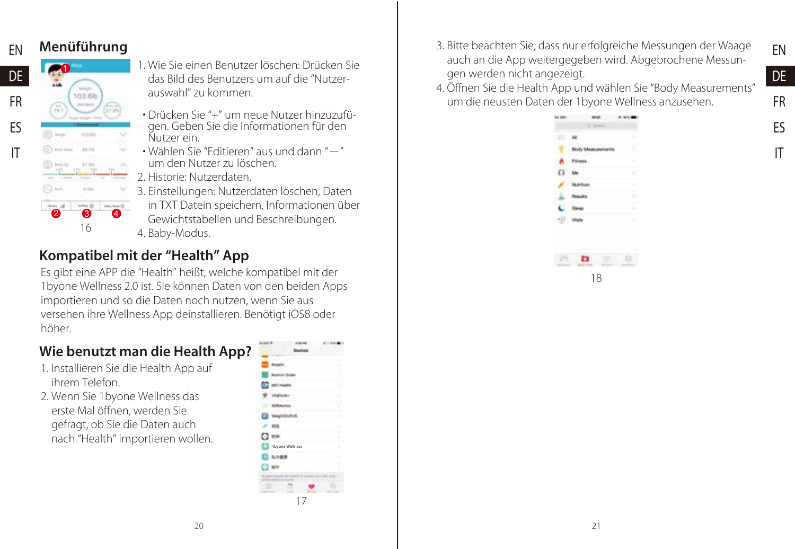

#### Menüführung

103.6b

 $-100$ as m

16

2 3 4

 $v = 0$ 

- 1. Wie Sie einen Benutzer löschen: Drücken Sie das Bild des Benutzers um auf die "Nutzerauswahl" zu kommen.
- Drücken Sie "+" um neue Nutzer hinzuzufü- gen. Geben Sie die Informationen für den Nutzer ein.
- Wählen Sie "Editieren" aus und dann "-" um den Nutzer zu löschen.
- 2. Historie: Nutzerdaten.
- 3. Einstellungen: Nutzerdaten löschen, Daten
- in TXT Datein speichern, Informationen über Gewichtstabellen und Beschreibungen. 4. Baby-Modus.

## Kompatibel mit der "Health" App

Es gibt eine APP die "Health" heißt, welche kompatibel mit der 1byone Wellness 2.0 ist. Sie können Daten von den beiden Apps importieren und so die Daten noch nutzen, wenn Sie aus versehen ihre Wellness App deinstallieren. Benötigt iOS8 oder höher.

## Wie benutzt man die Health App?

- 1. Installieren Sie die Health App auf ihrem Telefon.
- 2. Wenn Sie 1byone Wellness das erste Mal öffnen, werden Sie gefragt, ob Sie die Daten auch nach "Health" importieren wollen.

|                 | t<br>۰ |
|-----------------|--------|
|                 |        |
|                 |        |
|                 | ı      |
| 1byone Wellness |        |
|                 |        |
|                 |        |
|                 |        |
|                 |        |
|                 |        |
|                 | 17     |

- 3. Bitte beachten Sie, dass nur erfolgreiche Messungen der Waage auch an die App weitergegeben wird. Abgebrochene Messungen werden nicht angezeigt.
- 4. Öffnen Sie die Health App und wählen Sie "Body Measurements" um die neusten Daten der 1byone Wellness anzusehen.



EN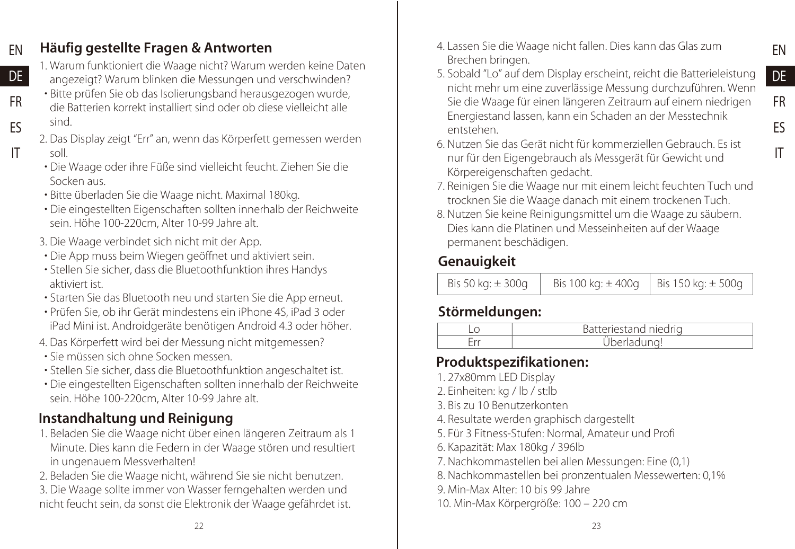#### Häufig gestellte Fragen & Antworten EN

DE FR ES IT

- 1. Warum funktioniert die Waage nicht? Warum werden keine Daten angezeigt? Warum blinken die Messungen und verschwinden?
- Bitte prüfen Sie ob das Isolierungsband herausgezogen wurde, die Batterien korrekt installiert sind oder ob diese vielleicht alle sind.
- 2. Das Display zeigt "Err" an, wenn das Körperfett gemessen werden soll.
- Die Waage oder ihre Füße sind vielleicht feucht. Ziehen Sie die Socken aus.
- Bitte überladen Sie die Waage nicht. Maximal 180kg.
- Die eingestellten Eigenschaften sollten innerhalb der Reichweite sein. Höhe 100-220cm, Alter 10-99 Jahre alt.
- 3. Die Waage verbindet sich nicht mit der App.
- Die App muss beim Wiegen geöffnet und aktiviert sein.
- Stellen Sie sicher, dass die Bluetoothfunktion ihres Handys aktiviert ist.
- Starten Sie das Bluetooth neu und starten Sie die App erneut.
- Prüfen Sie, ob ihr Gerät mindestens ein iPhone 4S, iPad 3 oder iPad Mini ist. Androidgeräte benötigen Android 4.3 oder höher.
- 4. Das Körperfett wird bei der Messung nicht mitgemessen?
- Sie müssen sich ohne Socken messen.
- Stellen Sie sicher, dass die Bluetoothfunktion angeschaltet ist.
- Die eingestellten Eigenschaften sollten innerhalb der Reichweite sein. Höhe 100-220cm, Alter 10-99 Jahre alt.

## Instandhaltung und Reinigung

- 1. Beladen Sie die Waage nicht über einen längeren Zeitraum als 1 Minute. Dies kann die Federn in der Waage stören und resultiert in ungenauem Messverhalten!
- 2. Beladen Sie die Waage nicht, während Sie sie nicht benutzen.
- 3. Die Waage sollte immer von Wasser ferngehalten werden und nicht feucht sein, da sonst die Elektronik der Waage gefährdet ist.
- 4. Lassen Sie die Waage nicht fallen. Dies kann das Glas zum Brechen bringen.
- 5. Sobald "Lo" auf dem Display erscheint, reicht die Batterieleistung nicht mehr um eine zuverlässige Messung durchzuführen. Wenn Sie die Waage für einen längeren Zeitraum auf einem niedrigen Energiestand lassen, kann ein Schaden an der Messtechnik entstehen.

EN DE FR ES IT

- 6. Nutzen Sie das Gerät nicht für kommerziellen Gebrauch. Es ist nur für den Eigengebrauch als Messgerät für Gewicht und Körpereigenschaften gedacht.
- 7. Reinigen Sie die Waage nur mit einem leicht feuchten Tuch und trocknen Sie die Waage danach mit einem trockenen Tuch.
- 8. Nutzen Sie keine Reinigungsmittel um die Waage zu säubern. Dies kann die Platinen und Messeinheiten auf der Waage permanent beschädigen.

## **Genauigkeit**

| Bis 50 kg: $\pm$ 300g | Bis 100 kg: $\pm$ 400g   Bis 150 kg: $\pm$ 500g |  |
|-----------------------|-------------------------------------------------|--|
|-----------------------|-------------------------------------------------|--|

## Störmeldungen:

| tand niedrig<br>a dalam |
|-------------------------|
|                         |

## Produktspezifikationen:

- 1. 27x80mm LED Display
- 2. Einheiten: kg / lb / st:lb
- 3. Bis zu 10 Benutzerkonten
- 4. Resultate werden graphisch dargestellt
- 5. Für 3 Fitness-Stufen: Normal, Amateur und Profi
- 6. Kapazität: Max 180kg / 396lb
- 7. Nachkommastellen bei allen Messungen: Eine (0,1)
- 8. Nachkommastellen bei pronzentualen Messewerten: 0,1%
- 9. Min-Max Alter: 10 bis 99 Jahre
- 10. Min-Max Körpergröße: 100 220 cm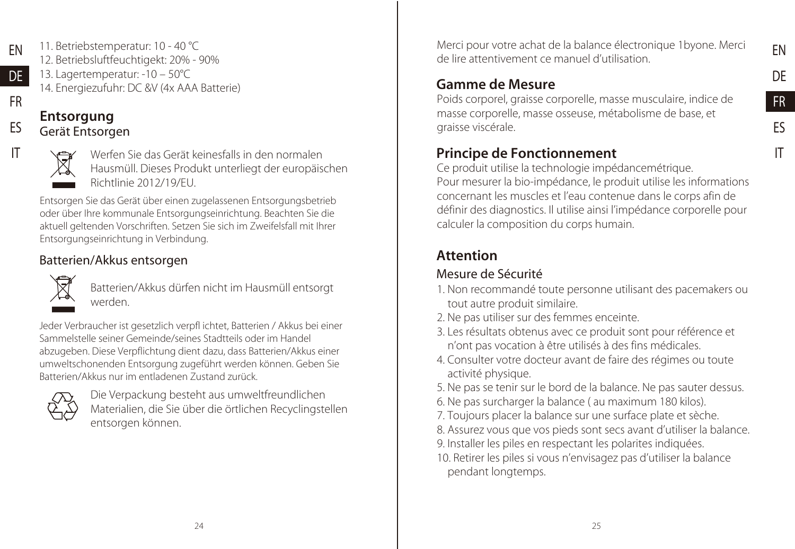DE FR ES IT

EN

11. Betriebstemperatur: 10 - 40 °C 12. Betriebsluftfeuchtigekt: 20% - 90% 13. Lagertemperatur: -10 – 50°C 14. Energiezufuhr: DC &V (4x AAA Batterie) EN D<sub>E</sub> FR

## **Entsorgung**

### Gerät Entsorgen



ES IT

Werfen Sie das Gerät keinesfalls in den normalen Hausmüll. Dieses Produkt unterliegt der europäischen Richtlinie 2012/19/EU.

Entsorgen Sie das Gerät über einen zugelassenen Entsorgungsbetrieb oder über Ihre kommunale Entsorgungseinrichtung. Beachten Sie die aktuell geltenden Vorschriften. Setzen Sie sich im Zweifelsfall mit Ihrer Entsorgungseinrichtung in Verbindung.

## Batterien/Akkus entsorgen



Batterien/Akkus dürfen nicht im Hausmüll entsorgt werden.

Jeder Verbraucher ist gesetzlich verpfl ichtet, Batterien / Akkus bei einer Sammelstelle seiner Gemeinde/seines Stadtteils oder im Handel abzugeben. Diese Verpflichtung dient dazu, dass Batterien/Akkus einer umweltschonenden Entsorgung zugeführt werden können. Geben Sie Batterien/Akkus nur im entladenen Zustand zurück.

|--|

Die Verpackung besteht aus umweltfreundlichen Materialien, die Sie über die örtlichen Recyclingstellen entsorgen können.

Merci pour votre achat de la balance électronique 1byone. Merci de lire attentivement ce manuel d'utilisation.

## Gamme de Mesure

Poids corporel, graisse corporelle, masse musculaire, indice de masse corporelle, masse osseuse, métabolisme de base, et graisse viscérale.

## Principe de Fonctionnement

Ce produit utilise la technologie impédancemétrique. Pour mesurer la bio-impédance, le produit utilise les informations concernant les muscles et l'eau contenue dans le corps afin de définir des diagnostics. Il utilise ainsi l'impédance corporelle pour calculer la composition du corps humain.

## Attention

## Mesure de Sécurité

- 1. Non recommandé toute personne utilisant des pacemakers ou tout autre produit similaire.
- 2. Ne pas utiliser sur des femmes enceinte.
- 3. Les résultats obtenus avec ce produit sont pour référence et n'ont pas vocation à être utilisés à des fins médicales.
- 4. Consulter votre docteur avant de faire des régimes ou toute activité physique.
- 5. Ne pas se tenir sur le bord de la balance. Ne pas sauter dessus.
- 6. Ne pas surcharger la balance ( au maximum 180 kilos).
- 7. Toujours placer la balance sur une surface plate et sèche.
- 8. Assurez vous que vos pieds sont secs avant d'utiliser la balance.
- 9. Installer les piles en respectant les polarites indiquées.
- 10. Retirer les piles si vous n'envisagez pas d'utiliser la balance pendant longtemps.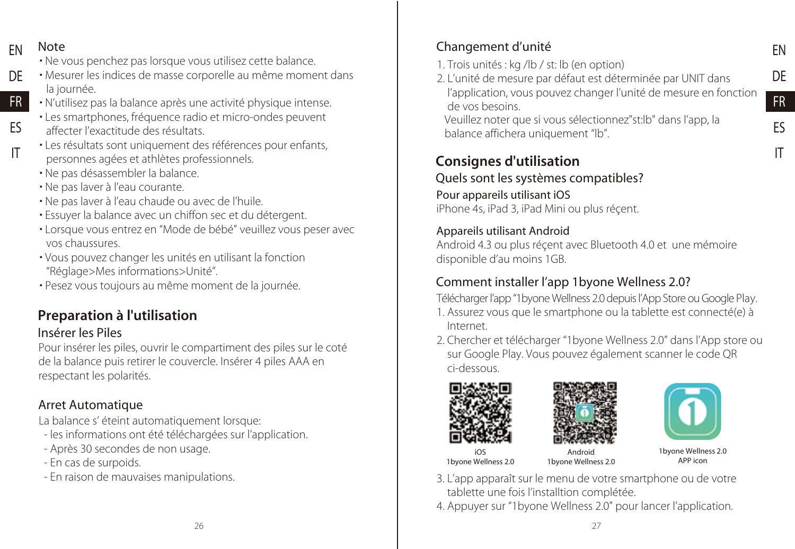FN Note

ES IT

- Ne vous penchez pas lorsque vous utilisez cette balance.
- Mesurer les indices de masse corporelle au même moment dans la journée. DE
- N'utilisez pas la balance après une activité physique intense. FR
	- Les smartphones, fréquence radio et micro-ondes peuvent affecter l'exactitude des résultats.
	- Les résultats sont uniquement des références pour enfants, personnes agées et athlètes professionnels.
	- Ne pas désassembler la balance.
	- Ne pas laver à l'eau courante.
	- Ne pas laver à l'eau chaude ou avec de l'huile.
	- Essuyer la balance avec un chiffon sec et du détergent.
	- Lorsque vous entrez en "Mode de bébé" veuillez vous peser avec vos chaussures.
	- Vous pouvez changer les unités en utilisant la fonction "Réglage>Mes informations>Unité".
	- Pesez vous toujours au même moment de la journée.

## Preparation à l'utilisation

### Insérer les Piles

Pour insérer les piles, ouvrir le compartiment des piles sur le coté de la balance puis retirer le couvercle. Insérer 4 piles AAA en respectant les polarités.

## Arret Automatique

La balance s' éteint automatiquement lorsque:

- les informations ont été téléchargées sur l'application.
- Après 30 secondes de non usage.
- En cas de surpoids.
- En raison de mauvaises manipulations.

## Changement d'unité

- 1. Trois unités : kg /lb / st: lb (en option)
- 2. L'unité de mesure par défaut est déterminée par UNIT dans l'application, vous pouvez changer l'unité de mesure en fonction de vos besoins.

Veuillez noter que si vous sélectionnez"st:lb" dans l'app, la balance affichera uniquement "lb".

## Consignes d'utilisation

Quels sont les systèmes compatibles?

Pour appareils utilisant iOS iPhone 4s, iPad 3, iPad Mini ou plus réçent.

#### Appareils utilisant Android

Android 4.3 ou plus réçent avec Bluetooth 4.0 et une mémoire disponible d'au moins 1GB.

## Comment installer l'app 1byone Wellness 2.0?

Télécharger l'app "1byone Wellness 2.0 depuis l'App Store ou Google Play. 1. Assurez vous que le smartphone ou la tablette est connecté(e) à Internet.

2. Chercher et télécharger "1byone Wellness 2.0" dans l'App store ou sur Google Play. Vous pouvez également scanner le code QR ci-dessous.







EN DE FR ES IT

iOS 1byone Wellness 2.0

Android 1byone Wellness 2.0

1byone Wellness 2.0 APP icon

3. L'app apparaît sur le menu de votre smartphone ou de votre tablette une fois l'installtion complétée.

4. Appuyer sur "1byone Wellness 2.0" pour lancer l'application.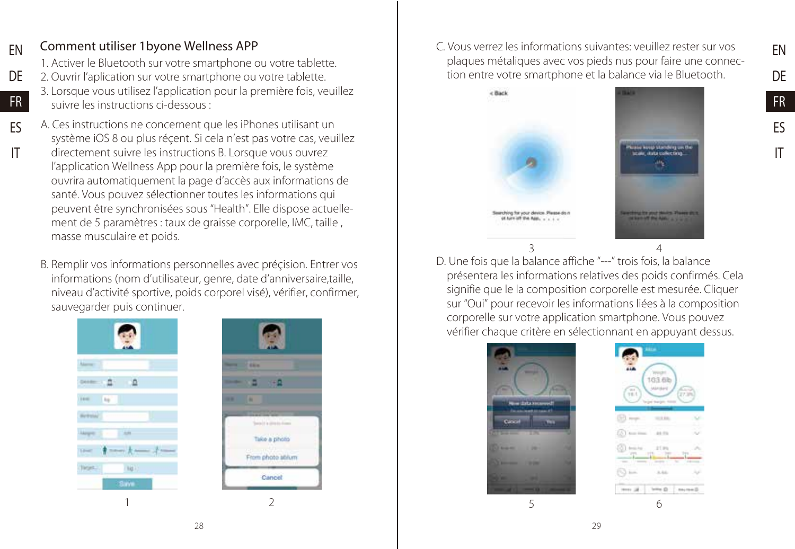#### Comment utiliser 1byone Wellness APP EN

DE FR ES IT

1. Activer le Bluetooth sur votre smartphone ou votre tablette.

- 2. Ouvrir l'aplication sur votre smartphone ou votre tablette.
	- 3. Lorsque vous utilisez l'application pour la première fois, veuillez suivre les instructions ci-dessous :
- A. Ces instructions ne concernent que les iPhones utilisant un système iOS 8 ou plus réçent. Si cela n'est pas votre cas, veuillez directement suivre les instructions B. Lorsque vous ouvrez l'application Wellness App pour la première fois, le système ouvrira automatiquement la page d'accès aux informations de santé. Vous pouvez sélectionner toutes les informations qui peuvent être synchronisées sous "Health". Elle dispose actuellement de 5 paramètres : taux de graisse corporelle, IMC, taille , masse musculaire et poids.
	- B. Remplir vos informations personnelles avec préçision. Entrer vos informations (nom d'utilisateur, genre, date d'anniversaire,taille, niveau d'activité sportive, poids corporel visé), vérifier, confirmer, sauvegarder puis continuer.





C. Vous verrez les informations suivantes: veuillez rester sur vos plaques métaliques avec vos pieds nus pour faire une connection entre votre smartphone et la balance via le Bluetooth.



D. Une fois que la balance affiche "---" trois fois, la balance présentera les informations relatives des poids confirmés. Cela signifie que le la composition corporelle est mesurée. Cliquer sur "Oui" pour recevoir les informations liées à la composition corporelle sur votre application smartphone. Vous pouvez vérifier chaque critère en sélectionnant en appuyant dessus.





EN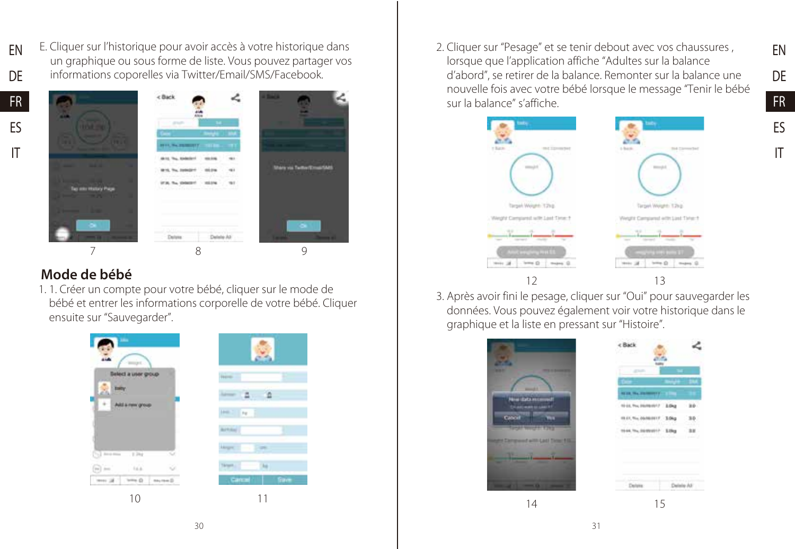EN DE E. Cliquer sur l'historique pour avoir accès à votre historique dans un graphique ou sous forme de liste. Vous pouvez partager vos informations coporelles via Twitter/Email/SMS/Facebook.





### Mode de bébé

1. 1. Créer un compte pour votre bébé, cliquer sur le mode de bébé et entrer les informations corporelle de votre bébé. Cliquer ensuite sur "Sauvegarder".



2. Cliquer sur "Pesage" et se tenir debout avec vos chaussures , lorsque que l'application affiche "Adultes sur la balance d'abord", se retirer de la balance. Remonter sur la balance une nouvelle fois avec votre bébé lorsque le message "Tenir le bébé sur la balance" s'affiche.



3. Après avoir fini le pesage, cliquer sur "Oui" pour sauvegarder les données. Vous pouvez également voir votre historique dans le graphique et la liste en pressant sur "Histoire".



14 15

FR ES IT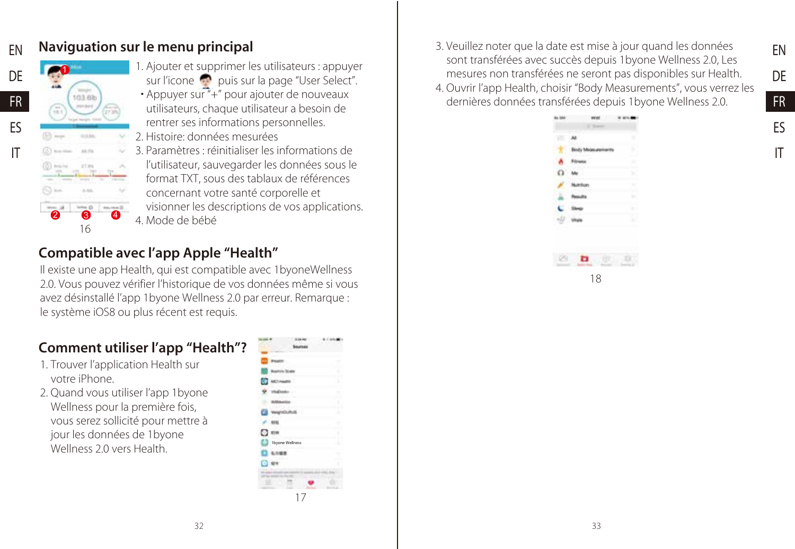#### Naviguation sur le menu principal EN



ES IT

1. Ajouter et supprimer les utilisateurs : appuyer sur l'icone **puis sur la page "User Select"**.

 • Appuyer sur "+" pour ajouter de nouveaux utilisateurs, chaque utilisateur a besoin de rentrer ses informations personnelles.

2. Histoire: données mesurées

3. Paramètres : réinitialiser les informations de l'utilisateur, sauvegarder les données sous le format TXT, sous des tablaux de références concernant votre santé corporelle et visionner les descriptions de vos applications. 4. Mode de bébé

## Compatible avec l'app Apple "Health"

Il existe une app Health, qui est compatible avec 1byoneWellness 2.0. Vous pouvez vérifier l'historique de vos données même si vous avez désinstallé l'app 1byone Wellness 2.0 par erreur. Remarque : le système iOS8 ou plus récent est requis.

### Comment utiliser l'app "Health"?

- 1. Trouver l'application Health sur votre iPhone.
- 2. Quand vous utiliser l'app 1byone Wellness pour la première fois, vous serez sollicité pour mettre à jour les données de 1byone Wellness 2.0 vers Health



3. Veuillez noter que la date est mise à jour quand les données sont transférées avec succès depuis 1byone Wellness 2.0, Les mesures non transférées ne seront pas disponibles sur Health. 4. Ouvrir l'app Health, choisir "Body Measurements", vous verrez les dernières données transférées depuis 1byone Wellness 2.0.



EN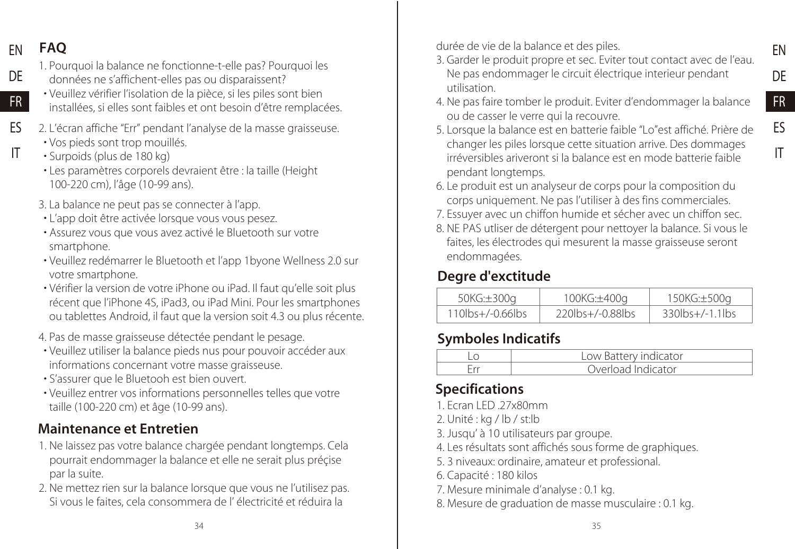#### FAQ EN

DE

FR

IT

- 1. Pourquoi la balance ne fonctionne-t-elle pas? Pourquoi les données ne s'affichent-elles pas ou disparaissent?
- Veuillez vérifier l'isolation de la pièce, si les piles sont bien installées, si elles sont faibles et ont besoin d'être remplacées.
- 2. L'écran affiche "Err" pendant l'analyse de la masse graisseuse. ES
	- Vos pieds sont trop mouillés.
	- Surpoids (plus de 180 kg)
	- Les paramètres corporels devraient être : la taille (Height 100-220 cm), l'âge (10-99 ans).
	- 3. La balance ne peut pas se connecter à l'app.
	- L'app doit être activée lorsque vous vous pesez.
	- Assurez vous que vous avez activé le Bluetooth sur votre smartphone.
	- Veuillez redémarrer le Bluetooth et l'app 1byone Wellness 2.0 sur votre smartphone.
	- Vérifier la version de votre iPhone ou iPad. Il faut qu'elle soit plus récent que l'iPhone 4S, iPad3, ou iPad Mini. Pour les smartphones ou tablettes Android, il faut que la version soit 4.3 ou plus récente.
	- 4. Pas de masse graisseuse détectée pendant le pesage.
	- Veuillez utiliser la balance pieds nus pour pouvoir accéder aux informations concernant votre masse graisseuse.
	- S'assurer que le Bluetooh est bien ouvert.
	- Veuillez entrer vos informations personnelles telles que votre taille (100-220 cm) et âge (10-99 ans).

## Maintenance et Entretien

- 1. Ne laissez pas votre balance chargée pendant longtemps. Cela pourrait endommager la balance et elle ne serait plus préçise par la suite.
- 2. Ne mettez rien sur la balance lorsque que vous ne l'utilisez pas. Si vous le faites, cela consommera de l' électricité et réduira la

durée de vie de la balance et des piles.

3. Garder le produit propre et sec. Eviter tout contact avec de l'eau. Ne pas endommager le circuit électrique interieur pendant utilisation.

EN DE FR ES IT

- 4. Ne pas faire tomber le produit. Eviter d'endommager la balance ou de casser le verre qui la recouvre.
- 5. Lorsque la balance est en batterie faible "Lo"est affiché. Prière de changer les piles lorsque cette situation arrive. Des dommages irréversibles ariveront si la balance est en mode batterie faible pendant longtemps.
- 6. Le produit est un analyseur de corps pour la composition du corps uniquement. Ne pas l'utiliser à des fins commerciales.
- 7. Essuyer avec un chiffon humide et sécher avec un chiffon sec.
- 8. NE PAS utliser de détergent pour nettoyer la balance. Si vous le faites, les électrodes qui mesurent la masse graisseuse seront endommagées.

## Degre d'exctitude

| 50KG:±300g          | 100KG:±400q             | 150KG:±500g     |
|---------------------|-------------------------|-----------------|
| $110$ lbs+/-0.66lbs | $220$ lbs $+/-0.88$ lbs | 330lbs+/-1.1lbs |

## Symboles Indicatifs

| Low Battery indicator |
|-----------------------|
| Overload Indicator    |

## Specifications

- 1. Ecran LED 27x80mm
- 2. Unité : kg / lb / st:lb
- 3. Jusqu' à 10 utilisateurs par groupe.
- 4. Les résultats sont affichés sous forme de graphiques.
- 5. 3 niveaux: ordinaire, amateur et professional.
- 6. Capacité : 180 kilos
- 7. Mesure minimale d'analyse : 0.1 kg.
- 8. Mesure de graduation de masse musculaire : 0.1 kg.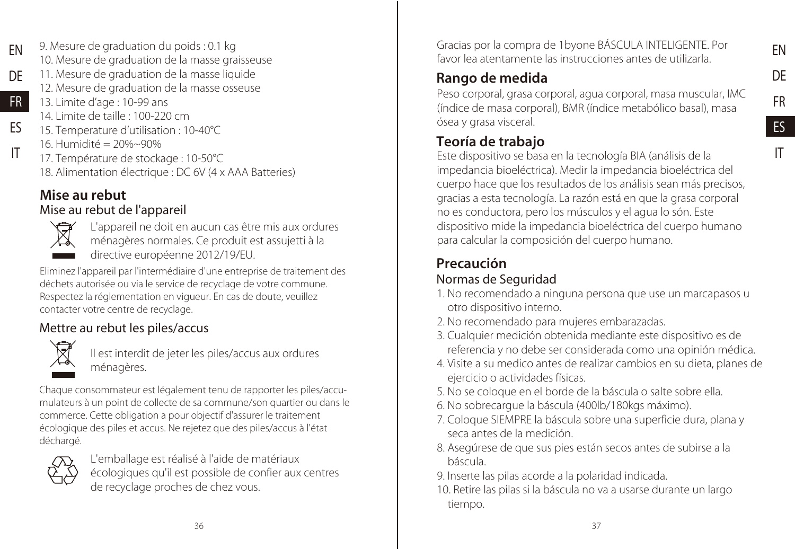IT

9. Mesure de graduation du poids : 0.1 kg 10. Mesure de graduation de la masse graisseuse 11. Mesure de graduation de la masse liquide EN DE

- 12. Mesure de graduation de la masse osseuse
- 13. Limite d'age : 10-99 ans 14. Limite de taille : 100-220 cm FR
- 15. Temperature d'utilisation : 10-40°C ES
	- 16. Humidité = 20%~90%
		- 17. Température de stockage : 10-50°C 18. Alimentation électrique : DC 6V (4 x AAA Batteries)

## Mise au rebut

#### Mise au rebut de l'appareil



IT

L'appareil ne doit en aucun cas être mis aux ordures ménagères normales. Ce produit est assujetti à la directive européenne 2012/19/EU.

Eliminez l'appareil par l'intermédiaire d'une entreprise de traitement des déchets autorisée ou via le service de recyclage de votre commune. Respectez la réglementation en vigueur. En cas de doute, veuillez contacter votre centre de recyclage.

## Mettre au rebut les piles/accus



Il est interdit de jeter les piles/accus aux ordures ménagères.

Chaque consommateur est légalement tenu de rapporter les piles/accumulateurs à un point de collecte de sa commune/son quartier ou dans le commerce. Cette obligation a pour objectif d'assurer le traitement écologique des piles et accus. Ne rejetez que des piles/accus à l'état déchargé.



L'emballage est réalisé à l'aide de matériaux écologiques qu'il est possible de confier aux centres de recyclage proches de chez vous.

Gracias por la compra de 1byone BÁSCULA INTELIGENTE. Por favor lea atentamente las instrucciones antes de utilizarla.

## Rango de medida

Peso corporal, grasa corporal, agua corporal, masa muscular, IMC (índice de masa corporal), BMR (índice metabólico basal), masa ósea y grasa visceral.

## Teoría de trabajo

Este dispositivo se basa en la tecnología BIA (análisis de la impedancia bioeléctrica). Medir la impedancia bioeléctrica del cuerpo hace que los resultados de los análisis sean más precisos, gracias a esta tecnología. La razón está en que la grasa corporal no es conductora, pero los músculos y el agua lo són. Este dispositivo mide la impedancia bioeléctrica del cuerpo humano para calcular la composición del cuerpo humano.

## Precaución

### Normas de Seguridad

- 1. No recomendado a ninguna persona que use un marcapasos u otro dispositivo interno.
- 2. No recomendado para mujeres embarazadas.
- 3. Cualquier medición obtenida mediante este dispositivo es de referencia y no debe ser considerada como una opinión médica.
- 4. Visite a su medico antes de realizar cambios en su dieta, planes de ejercicio o actividades físicas.
- 5. No se coloque en el borde de la báscula o salte sobre ella.
- 6. No sobrecargue la báscula (400lb/180kgs máximo).
- 7. Coloque SIEMPRE la báscula sobre una superficie dura, plana y seca antes de la medición.
- 8. Asegúrese de que sus pies están secos antes de subirse a la báscula.
- 9. Inserte las pilas acorde a la polaridad indicada.
- 10. Retire las pilas si la báscula no va a usarse durante un largo tiempo.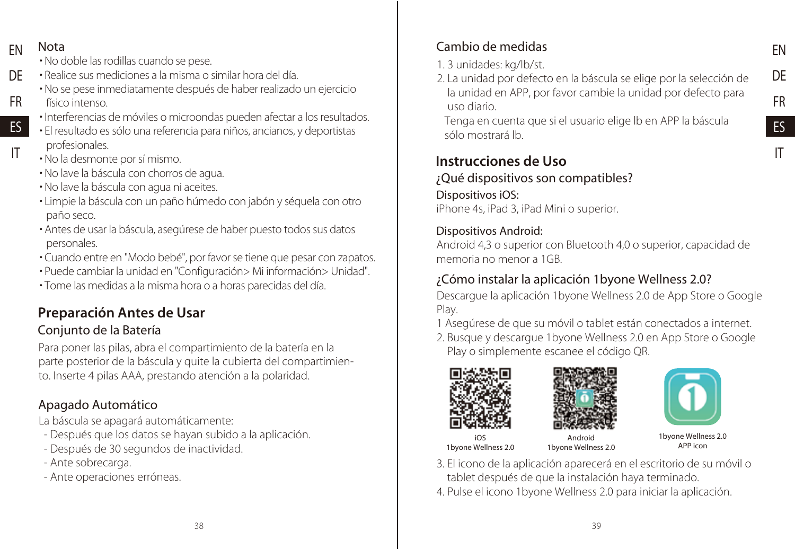FN Nota

IT

- No doble las rodillas cuando se pese.
- Realice sus mediciones a la misma o similar hora del día. DE
	- No se pese inmediatamente después de haber realizado un ejercicio
- físico intenso. FR
- Interferencias de móviles o microondas pueden afectar a los resultados. ES
	- El resultado es sólo una referencia para niños, ancianos, y deportistas profesionales.
	- No la desmonte por sí mismo.
	- No lave la báscula con chorros de agua.
	- No lave la báscula con agua ni aceites.
	- Limpie la báscula con un paño húmedo con jabón y séquela con otro paño seco.
	- Antes de usar la báscula, asegúrese de haber puesto todos sus datos personales.
	- Cuando entre en "Modo bebé", por favor se tiene que pesar con zapatos.
	- Puede cambiar la unidad en "Configuración> Mi información> Unidad".
	- Tome las medidas a la misma hora o a horas parecidas del día.

## Preparación Antes de Usar

### Conjunto de la Batería

Para poner las pilas, abra el compartimiento de la batería en la parte posterior de la báscula y quite la cubierta del compartimiento. Inserte 4 pilas AAA, prestando atención a la polaridad.

### Apagado Automático

La báscula se apagará automáticamente:

- Después que los datos se hayan subido a la aplicación.
- Después de 30 segundos de inactividad.
- Ante sobrecarga.
- Ante operaciones erróneas.

## Cambio de medidas

- 1. 3 unidades: kg/lb/st.
- 2. La unidad por defecto en la báscula se elige por la selección de la unidad en APP, por favor cambie la unidad por defecto para uso diario.

Tenga en cuenta que si el usuario elige lb en APP la báscula sólo mostrará lb.

## Instrucciones de Uso

Dispositivos iOS: iPhone 4s, iPad 3, iPad Mini o superior. ¿Qué dispositivos son compatibles?

#### Dispositivos Android:

Android 4,3 o superior con Bluetooth 4,0 o superior, capacidad de memoria no menor a 1GB.

## ¿Cómo instalar la aplicación 1byone Wellness 2.0?

Descargue la aplicación 1byone Wellness 2.0 de App Store o Google Play.

- 1 Asegúrese de que su móvil o tablet están conectados a internet.
- 2. Busque y descargue 1byone Wellness 2.0 en App Store o Google Play o simplemente escanee el código QR.







EN DE FR ES IT

iOS 1byone Wellness 2.0

Android 1byone Wellness 2.0

1byone Wellness 2.0 APP icon

- 3. El icono de la aplicación aparecerá en el escritorio de su móvil o tablet después de que la instalación haya terminado.
- 4. Pulse el icono 1byone Wellness 2.0 para iniciar la aplicación.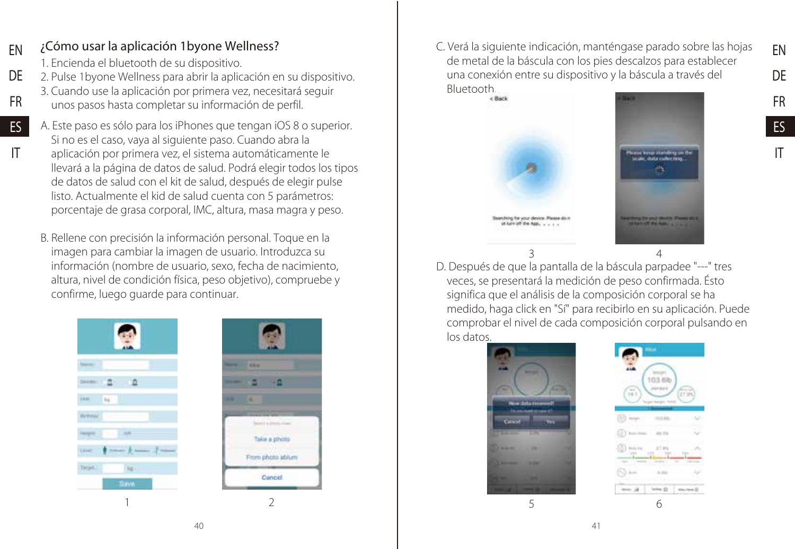#### ¿Cómo usar la aplicación 1byone Wellness? EN

1. Encienda el bluetooth de su dispositivo.

FR ES IT

- 2. Pulse 1byone Wellness para abrir la aplicación en su dispositivo. DE
	- 3. Cuando use la aplicación por primera vez, necesitará seguir unos pasos hasta completar su información de perfil.
	- A. Este paso es sólo para los iPhones que tengan iOS 8 o superior. Si no es el caso, vaya al siguiente paso. Cuando abra la aplicación por primera vez, el sistema automáticamente le llevará a la página de datos de salud. Podrá elegir todos los tipos de datos de salud con el kit de salud, después de elegir pulse listo. Actualmente el kid de salud cuenta con 5 parámetros: porcentaje de grasa corporal, IMC, altura, masa magra y peso.
	- B. Rellene con precisión la información personal. Toque en la imagen para cambiar la imagen de usuario. Introduzca su información (nombre de usuario, sexo, fecha de nacimiento, altura, nivel de condición física, peso objetivo), compruebe y confirme, luego guarde para continuar.





C. Verá la siguiente indicación, manténgase parado sobre las hojas de metal de la báscula con los pies descalzos para establecer una conexión entre su dispositivo y la báscula a través del Bluetooth.





EN DE FR ES IT

D. Después de que la pantalla de la báscula parpadee "---" tres veces, se presentará la medición de peso confirmada. Ésto significa que el análisis de la composición corporal se ha medido, haga click en "Sí" para recibirlo en su aplicación. Puede comprobar el nivel de cada composición corporal pulsando en los datos.



103.68  $-111$ **ALC**  $250$ mo al- $1 - 0$  $m_1$  rank  $\otimes$ 

5 6

 $40$   $41$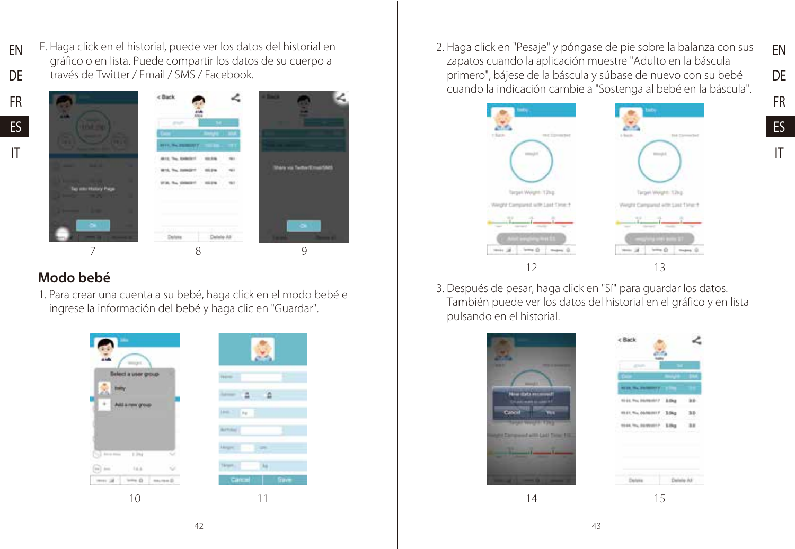E. Haga click en el historial, puede ver los datos del historial en gráfico o en lista. Puede compartir los datos de su cuerpo a través de Twitter / Email / SMS / Facebook. EN DE





#### Modo bebé

1. Para crear una cuenta a su bebé, haga click en el modo bebé e ingrese la información del bebé y haga clic en "Guardar".



2. Haga click en "Pesaje" y póngase de pie sobre la balanza con sus zapatos cuando la aplicación muestre "Adulto en la báscula primero", bájese de la báscula y súbase de nuevo con su bebé cuando la indicación cambie a "Sostenga al bebé en la báscula".

EN DE FR ES IT



3. Después de pesar, haga click en "Sí" para guardar los datos. También puede ver los datos del historial en el gráfico y en lista pulsando en el historial.

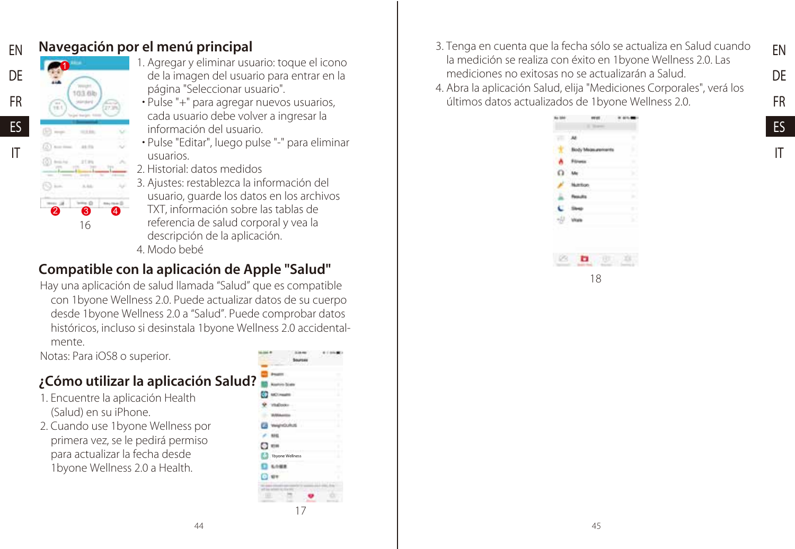

## Navegación por el menú principal

- 1. Agregar y eliminar usuario: toque el icono de la imagen del usuario para entrar en la página "Seleccionar usuario".
- Pulse "+" para agregar nuevos usuarios, cada usuario debe volver a ingresar la información del usuario.
- Pulse "Editar", luego pulse "-" para eliminar usuarios.
- 2. Historial: datos medidos
- 3. Ajustes: restablezca la información del usuario, guarde los datos en los archivos TXT, información sobre las tablas de referencia de salud corporal y vea la descripción de la aplicación. 4. Modo bebé
- 

## Compatible con la aplicación de Apple "Salud"

Hay una aplicación de salud llamada "Salud" que es compatible con 1byone Wellness 2.0. Puede actualizar datos de su cuerpo desde 1byone Wellness 2.0 a "Salud". Puede comprobar datos históricos, incluso si desinstala 1byone Wellness 2.0 accidentalmente.

Notas: Para iOS8 o superior.

## ¿Cómo utilizar la aplicación Salud?

- 1. Encuentre la aplicación Health (Salud) en su iPhone.
- 2. Cuando use 1byone Wellness por primera vez, se le pedirá permiso para actualizar la fecha desde 1byone Wellness 2.0 a Health.

|   | 1byone Wellness |  |
|---|-----------------|--|
|   |                 |  |
|   |                 |  |
|   |                 |  |
| 1 |                 |  |
|   | 17              |  |
|   |                 |  |

- 3. Tenga en cuenta que la fecha sólo se actualiza en Salud cuando la medición se realiza con éxito en 1byone Wellness 2.0. Las mediciones no exitosas no se actualizarán a Salud.
- 4. Abra la aplicación Salud, elija "Mediciones Corporales", verá los últimos datos actualizados de 1byone Wellness 2.0.



EN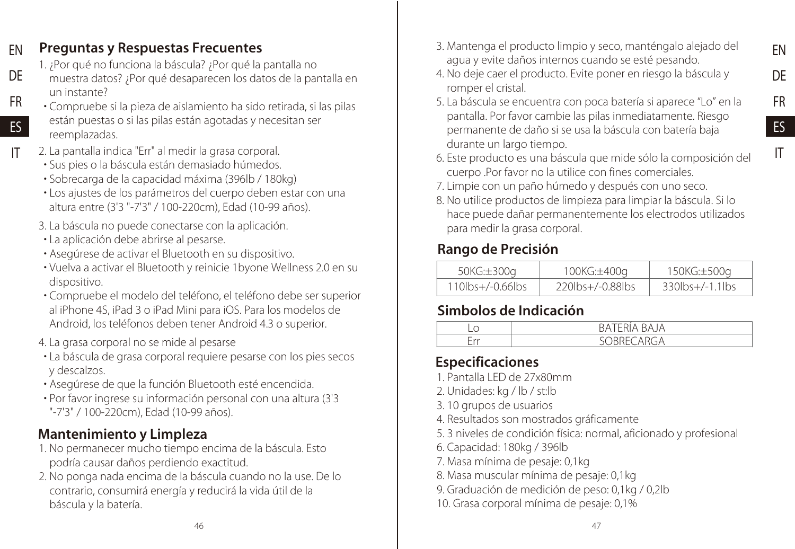#### Preguntas y Respuestas Frecuentes EN

- 1. ¿Por qué no funciona la báscula? ¿Por qué la pantalla no
- muestra datos? ¿Por qué desaparecen los datos de la pantalla en un instante? DE FR
- Compruebe si la pieza de aislamiento ha sido retirada, si las pilas están puestas o si las pilas están agotadas y necesitan ser reemplazadas. ES
- 2. La pantalla indica "Err" al medir la grasa corporal. IT
	- Sus pies o la báscula están demasiado húmedos.
	- Sobrecarga de la capacidad máxima (396lb / 180kg)
	- Los ajustes de los parámetros del cuerpo deben estar con una altura entre (3'3 "-7'3" / 100-220cm), Edad (10-99 años).
	- 3. La báscula no puede conectarse con la aplicación.
	- La aplicación debe abrirse al pesarse.
	- Asegúrese de activar el Bluetooth en su dispositivo.
	- Vuelva a activar el Bluetooth y reinicie 1byone Wellness 2.0 en su dispositivo.
	- Compruebe el modelo del teléfono, el teléfono debe ser superior al iPhone 4S, iPad 3 o iPad Mini para iOS. Para los modelos de Android, los teléfonos deben tener Android 4.3 o superior.
	- 4. La grasa corporal no se mide al pesarse
	- La báscula de grasa corporal requiere pesarse con los pies secos y descalzos.
	- Asegúrese de que la función Bluetooth esté encendida.
	- Por favor ingrese su información personal con una altura (3'3 "-7'3" / 100-220cm), Edad (10-99 años).

## Mantenimiento y Limpleza

- 1. No permanecer mucho tiempo encima de la báscula. Esto podría causar daños perdiendo exactitud.
- 2. No ponga nada encima de la báscula cuando no la use. De lo contrario, consumirá energía y reducirá la vida útil de la báscula y la batería.

3. Mantenga el producto limpio y seco, manténgalo alejado del agua y evite daños internos cuando se esté pesando.

EN DE FR ES IT

- 4. No deje caer el producto. Evite poner en riesgo la báscula y romper el cristal.
- 5. La báscula se encuentra con poca batería si aparece "Lo" en la pantalla. Por favor cambie las pilas inmediatamente. Riesgo permanente de daño si se usa la báscula con batería baja durante un largo tiempo.
- 6. Este producto es una báscula que mide sólo la composición del cuerpo .Por favor no la utilice con fines comerciales.
- 7. Limpie con un paño húmedo y después con uno seco.
- 8. No utilice productos de limpieza para limpiar la báscula. Si lo hace puede dañar permanentemente los electrodos utilizados para medir la grasa corporal.

## Rango de Precisión

| 50KG:±300a       | 100KG:±400a             | 150KG:±500a            |
|------------------|-------------------------|------------------------|
| 110lbs+/-0.66lbs | $220$ lbs $+/-0.88$ lbs | $330$ lbs $+/-1.1$ lbs |

## Simbolos de Indicación

| <b>COLUMN</b> | $\sim$ $\sim$ $\sim$ $\sim$ $\sim$ $\sim$ $\sim$ |
|---------------|--------------------------------------------------|

## Especificaciones

- 1. Pantalla LED de 27x80mm
- 2. Unidades: kg / lb / st:lb
- 3. 10 grupos de usuarios
- 4. Resultados son mostrados gráficamente
- 5. 3 niveles de condición física: normal, aficionado y profesional
- 6. Capacidad: 180kg / 396lb
- 7. Masa mínima de pesaje: 0,1kg
- 8. Masa muscular mínima de pesaje: 0,1kg
- 9. Graduación de medición de peso: 0,1kg / 0,2lb
- 10. Grasa corporal mínima de pesaje: 0,1%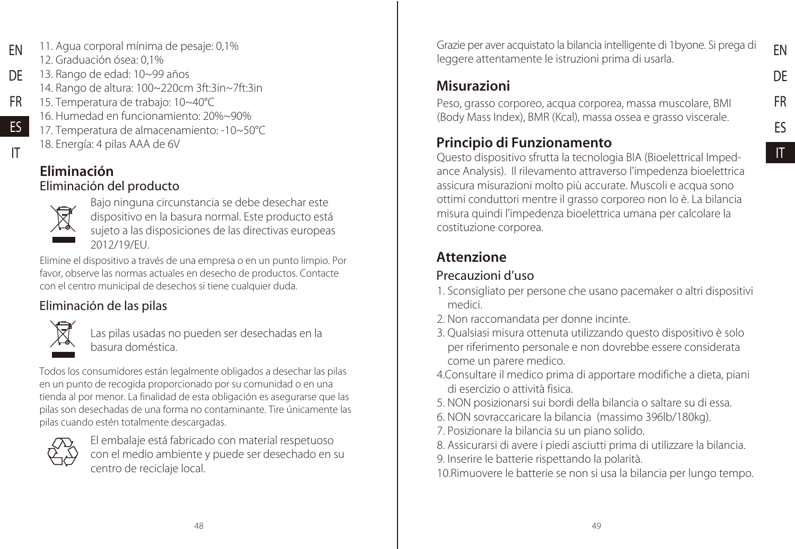- 11. Agua corporal mínima de pesaje: 0,1% 12. Graduación ósea: 0,1% EN
- 13. Rango de edad: 10~99 años 14. Rango de altura: 100~220cm 3ft:3in~7ft:3in DE
- 15. Temperatura de trabajo: 10~40°C FR
	- 16. Humedad en funcionamiento: 20%~90%
	- 17. Temperatura de almacenamiento: -10~50°C 18. Energía: 4 pilas AAA de 6V
- IT

ES

#### Eliminación del producto Eliminación



Bajo ninguna circunstancia se debe desechar este dispositivo en la basura normal. Este producto está sujeto a las disposiciones de las directivas europeas 2012/19/EU.

Elimine el dispositivo a través de una empresa o en un punto limpio. Por favor, observe las normas actuales en desecho de productos. Contacte con el centro municipal de desechos si tiene cualquier duda.

## Eliminación de las pilas



Las pilas usadas no pueden ser desechadas en la basura doméstica.

Todos los consumidores están legalmente obligados a desechar las pilas en un punto de recogida proporcionado por su comunidad o en una tienda al por menor. La finalidad de esta obligación es asegurarse que las pilas son desechadas de una forma no contaminante. Tire únicamente las pilas cuando estén totalmente descargadas.



El embalaje está fabricado con material respetuoso con el medio ambiente y puede ser desechado en su centro de reciclaje local.

Grazie per aver acquistato la bilancia intelligente di 1byone. Si prega di leggere attentamente le istruzioni prima di usarla.

## Misurazioni

Peso, grasso corporeo, acqua corporea, massa muscolare, BMI (Body Mass Index), BMR (Kcal), massa ossea e grasso viscerale.

## Principio di Funzionamento

Questo dispositivo sfrutta la tecnologia BIA (Bioelettrical Impedance Analysis). Il rilevamento attraverso l'impedenza bioelettrica assicura misurazioni molto più accurate. Muscoli e acqua sono ottimi conduttori mentre il grasso corporeo non lo è. La bilancia misura quindi l'impedenza bioelettrica umana per calcolare la costituzione corporea.

## Attenzione

### Precauzioni d'uso

- 1. Sconsigliato per persone che usano pacemaker o altri dispositivi medici.
- 2. Non raccomandata per donne incinte.
- 3. Qualsiasi misura ottenuta utilizzando questo dispositivo è solo per riferimento personale e non dovrebbe essere considerata come un parere medico.
- 4.Consultare il medico prima di apportare modifiche a dieta, piani di esercizio o attività fisica.
- 5. NON posizionarsi sui bordi della bilancia o saltare su di essa.
- 6. NON sovraccaricare la bilancia (massimo 396lb/180kg).
- 7. Posizionare la bilancia su un piano solido.
- 8. Assicurarsi di avere i piedi asciutti prima di utilizzare la bilancia.
- 9. Inserire le batterie rispettando la polarità.

10.Rimuovere le batterie se non si usa la bilancia per lungo tempo.

IT

EN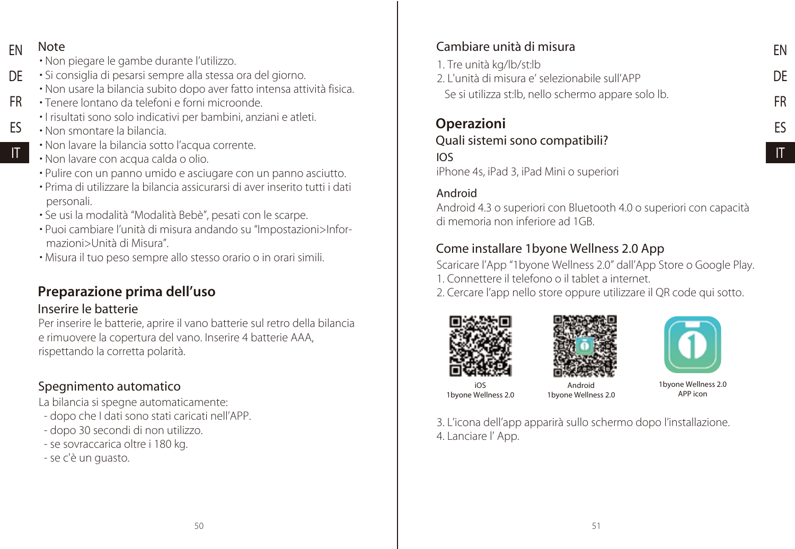FN Note

ES IT

- Non piegare le gambe durante l'utilizzo.
- Si consiglia di pesarsi sempre alla stessa ora del giorno. DE
	- Non usare la bilancia subito dopo aver fatto intensa attività fisica.
- Tenere lontano da telefoni e forni microonde. FR
	- I risultati sono solo indicativi per bambini, anziani e atleti.
	- Non smontare la bilancia.
	- Non lavare la bilancia sotto l'acqua corrente.
	- Non lavare con acqua calda o olio.
	- Pulire con un panno umido e asciugare con un panno asciutto.
	- Prima di utilizzare la bilancia assicurarsi di aver inserito tutti i dati personali.
	- Se usi la modalità "Modalità Bebè", pesati con le scarpe.
	- Puoi cambiare l'unità di misura andando su "Impostazioni>Informazioni>Unità di Misura".
	- Misura il tuo peso sempre allo stesso orario o in orari simili.

## Preparazione prima dell'uso

#### Inserire le batterie

Per inserire le batterie, aprire il vano batterie sul retro della bilancia e rimuovere la copertura del vano. Inserire 4 batterie AAA, rispettando la corretta polarità.

### Spegnimento automatico

La bilancia si spegne automaticamente:

- dopo che I dati sono stati caricati nell'APP.
- dopo 30 secondi di non utilizzo.
- se sovraccarica oltre i 180 kg.
- se c'è un guasto.

## Cambiare unità di misura

- 1. Tre unità kg/lb/st:lb
- 2. L'unità di misura e' selezionabile sull'APP
- Se si utilizza st:lb, nello schermo appare solo lb.

## Operazioni

## Quali sistemi sono compatibili?

## IOS

iPhone 4s, iPad 3, iPad Mini o superiori

#### Android

Android 4.3 o superiori con Bluetooth 4.0 o superiori con capacità di memoria non inferiore ad 1GB.

#### Come installare 1byone Wellness 2.0 App

Scaricare l'App "1byone Wellness 2.0" dall'App Store o Google Play. 1. Connettere il telefono o il tablet a internet.

2. Cercare l'app nello store oppure utilizzare il QR code qui sotto.







iOS 1byone Wellness 2.0

Android 1byone Wellness 2.0 1byone Wellness 2.0 APP icon

3. L'icona dell'app apparirà sullo schermo dopo l'installazione. 4. Lanciare l' App.

EN DE FR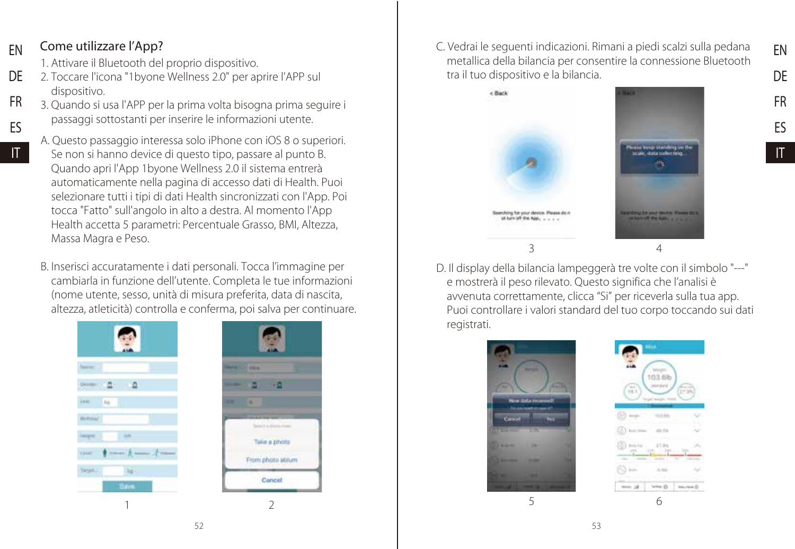#### Come utilizzare l'App? EN

IT

- 1. Attivare il Bluetooth del proprio dispositivo.
- 2. Toccare l'icona "1byone Wellness 2.0" per aprire l'APP sul dispositivo. DE FR
- 3. Quando si usa l'APP per la prima volta bisogna prima seguire i passaggi sottostanti per inserire le informazioni utente. ES
	- A. Questo passaggio interessa solo iPhone con iOS 8 o superiori. Se non si hanno device di questo tipo, passare al punto B. Quando apri l'App 1byone Wellness 2.0 il sistema entrerà automaticamente nella pagina di accesso dati di Health. Puoi selezionare tutti i tipi di dati Health sincronizzati con l'App. Poi tocca "Fatto" sull'angolo in alto a destra. Al momento l'App Health accetta 5 parametri: Percentuale Grasso, BMI, Altezza, Massa Magra e Peso.
	- B. Inserisci accuratamente i dati personali. Tocca l'immagine per cambiarla in funzione dell'utente. Completa le tue informazioni (nome utente, sesso, unità di misura preferita, data di nascita, altezza, atleticità) controlla e conferma, poi salva per continuare.





C. Vedrai le seguenti indicazioni. Rimani a piedi scalzi sulla pedana metallica della bilancia per consentire la connessione Bluetooth tra il tuo dispositivo e la bilancia.





FR ES

EN DE

D. Il display della bilancia lampeggerà tre volte con il simbolo "---" e mostrerà il peso rilevato. Questo significa che l'analisi è avvenuta correttamente, clicca "Si" per riceverla sulla tua app. Puoi controllare i valori standard del tuo corpo toccando sui dati registrati.



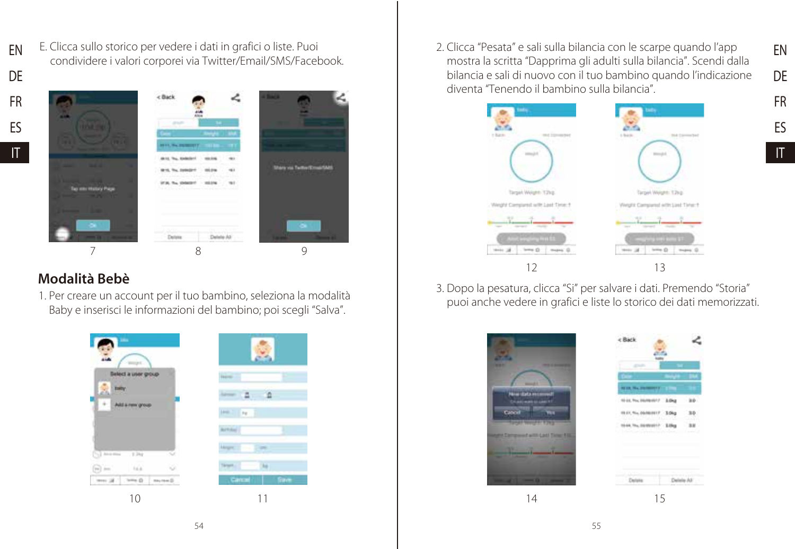DE FR ES

IT

EN



E. Clicca sullo storico per vedere i dati in grafici o liste. Puoi condividere i valori corporei via Twitter/Email/SMS/Facebook.

## Modalità Bebè

1. Per creare un account per il tuo bambino, seleziona la modalità Baby e inserisci le informazioni del bambino; poi scegli "Salva".



2. Clicca "Pesata" e sali sulla bilancia con le scarpe quando l'app mostra la scritta "Dapprima gli adulti sulla bilancia". Scendi dalla bilancia e sali di nuovo con il tuo bambino quando l'indicazione diventa "Tenendo il bambino sulla bilancia".

EN DE FR ES IT



3. Dopo la pesatura, clicca "Si" per salvare i dati. Premendo "Storia" puoi anche vedere in grafici e liste lo storico dei dati memorizzati.

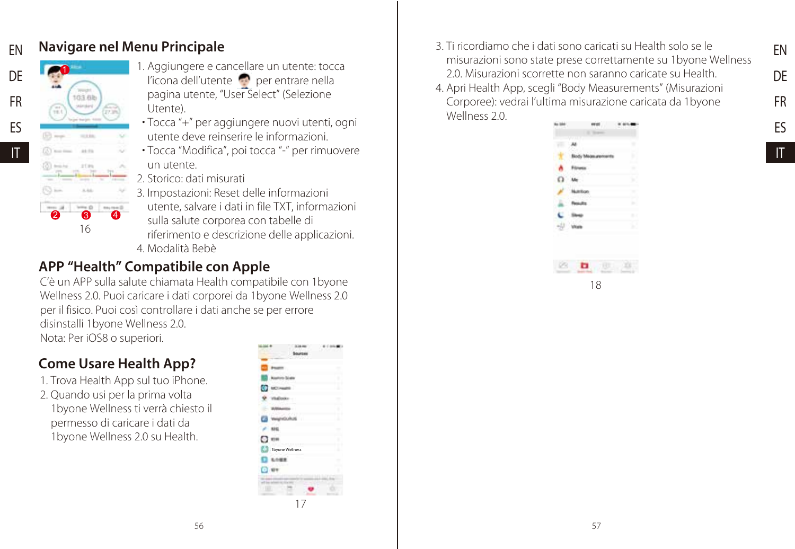#### Navigare nel Menu Principale EN



IT

1. Aggiungere e cancellare un utente: tocca l'icona dell'utente per entrare nella pagina utente, "User Select" (Selezione Utente).

- Tocca "+" per aggiungere nuovi utenti, ogni utente deve reinserire le informazioni.
- Tocca "Modifica", poi tocca "-" per rimuovere un utente.
- 2. Storico: dati misurati

3. Impostazioni: Reset delle informazioni utente, salvare i dati in file TXT, informazioni sulla salute corporea con tabelle di riferimento e descrizione delle applicazioni.

4. Modalità Bebè

## APP "Health" Compatibile con Apple

C'è un APP sulla salute chiamata Health compatibile con 1byone Wellness 2.0. Puoi caricare i dati corporei da 1byone Wellness 2.0 per il fisico. Puoi così controllare i dati anche se per errore disinstalli 1byone Wellness 2.0. Nota: Per iOS8 o superiori.

## Come Usare Health App?

- 1. Trova Health App sul tuo iPhone.
- 2. Quando usi per la prima volta 1byone Wellness ti verrà chiesto il permesso di caricare i dati da 1byone Wellness 2.0 su Health.

|           |                 | G             |
|-----------|-----------------|---------------|
|           |                 |               |
|           |                 | ÷             |
|           |                 | ۱             |
|           |                 | ٠             |
|           |                 | ×<br>٠        |
|           |                 | ۱             |
|           |                 | . .           |
|           |                 | ×             |
|           |                 | ۱             |
|           | 1byone Wellness | ٠<br>٠        |
|           |                 | $\mathcal{L}$ |
|           |                 | r.<br>١       |
|           |                 |               |
| <b>IS</b> | ۰               |               |
|           | 17              |               |

- 3. Ti ricordiamo che i dati sono caricati su Health solo se le misurazioni sono state prese correttamente su 1byone Wellness 2.0. Misurazioni scorrette non saranno caricate su Health.
- 4. Apri Health App, scegli "Body Measurements" (Misurazioni Corporee): vedrai l'ultima misurazione caricata da 1byone Wellness 2.0



IT

EN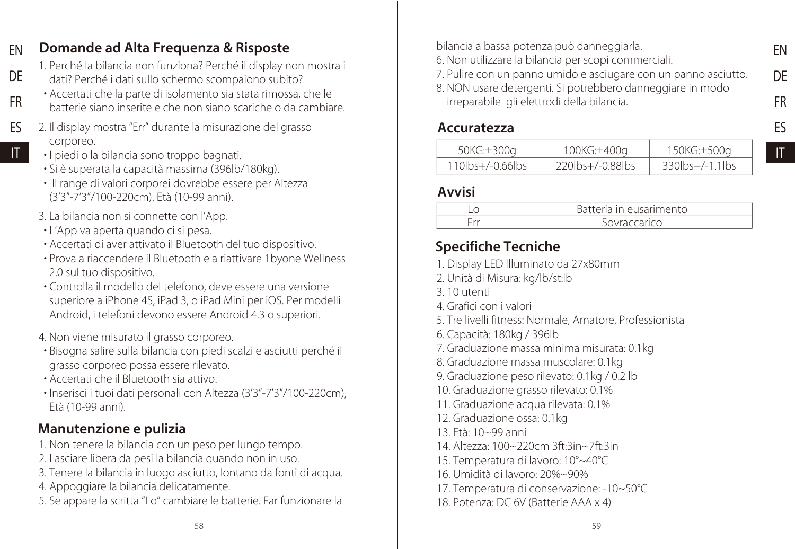#### Domande ad Alta Frequenza & Risposte EN

- 1. Perché la bilancia non funziona? Perché il display non mostra i dati? Perché i dati sullo schermo scompaiono subito? DE
	- Accertati che la parte di isolamento sia stata rimossa, che le batterie siano inserite e che non siano scariche o da cambiare.
- 2. Il display mostra "Err" durante la misurazione del grasso corporeo. ES IT
	- I piedi o la bilancia sono troppo bagnati.

FR

- Si è superata la capacità massima (396lb/180kg).
- Il range di valori corporei dovrebbe essere per Altezza (3'3"-7'3"/100-220cm), Età (10-99 anni).
- 3. La bilancia non si connette con l'App.
- L'App va aperta quando ci si pesa.
- Accertati di aver attivato il Bluetooth del tuo dispositivo.
- Prova a riaccendere il Bluetooth e a riattivare 1byone Wellness 2.0 sul tuo dispositivo.
- Controlla il modello del telefono, deve essere una versione superiore a iPhone 4S, iPad 3, o iPad Mini per iOS. Per modelli Android, i telefoni devono essere Android 4.3 o superiori.
- 4. Non viene misurato il grasso corporeo.
- Bisogna salire sulla bilancia con piedi scalzi e asciutti perché il grasso corporeo possa essere rilevato.
- Accertati che il Bluetooth sia attivo.
- Inserisci i tuoi dati personali con Altezza (3'3"-7'3"/100-220cm), Età (10-99 anni).

### Manutenzione e pulizia

- 1. Non tenere la bilancia con un peso per lungo tempo.
- 2. Lasciare libera da pesi la bilancia quando non in uso.
- 3. Tenere la bilancia in luogo asciutto, lontano da fonti di acqua.
- 4. Appoggiare la bilancia delicatamente.
- 5. Se appare la scritta "Lo" cambiare le batterie. Far funzionare la

bilancia a bassa potenza può danneggiarla.

- 6. Non utilizzare la bilancia per scopi commerciali.
- 7. Pulire con un panno umido e asciugare con un panno asciutto.
- 8. NON usare detergenti. Si potrebbero danneggiare in modo irreparabile gli elettrodi della bilancia.
	-

#### Accuratezza

| 50KG:±300g          | 100KG:±400g         | 150KG:±500g              |
|---------------------|---------------------|--------------------------|
| $110$ lbs+/-0.66lbs | $220$ lbs+/-0.88lbs | $330\frac{bs}{-1.1}$ lbs |

#### Avvisi

| $\frac{1}{2}$ in our arimento |
|-------------------------------|
| accarica                      |

## Specifiche Tecniche

- 1. Display LED Illuminato da 27x80mm
- 2. Unità di Misura: kg/lb/st:lb
- 3. 10 utenti
- 4. Grafici con i valori
- 5. Tre livelli fitness: Normale, Amatore, Professionista
- 6. Capacità: 180kg / 396lb
- 7. Graduazione massa minima misurata: 0.1kg
- 8. Graduazione massa muscolare: 0.1kg
- 9. Graduazione peso rilevato: 0.1kg / 0.2 lb
- 10. Graduazione grasso rilevato: 0.1%
- 11. Graduazione acqua rilevata: 0.1%
- 12. Graduazione ossa: 0.1kg
- 13. Età: 10~99 anni
- 14. Altezza: 100~220cm 3ft:3in~7ft:3in
- 15. Temperatura di lavoro: 10°~40°C
- 16. Umidità di lavoro: 20%~90%
- 17. Temperatura di conservazione: -10~50°C
- 18. Potenza: DC 6V (Batterie AAA x 4)

EN DE FR